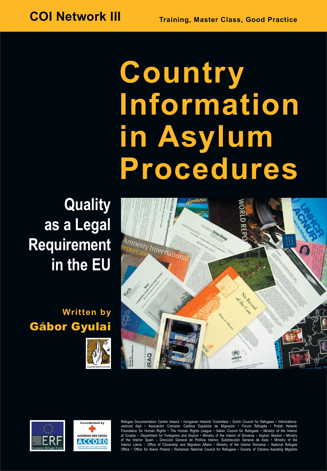# **Country Information in Asylum Procedures**

## **Quality<br>as a Legal Requirement Require** EU

### **Written by**  Gábor Gyulai









Refugee Documentation Centre Ireland • Hungarian Helsinki Committee • Dutch Council for Refugees • Informationsverbund Asyl • Asociación Comisión Católica Española de Migración • Forum Réfugiés • Polish Helsinki Foundation for Human Rights • The Human Rights League • Italian Council for Refugees • Ministry of the Interior of Croatia – Department for Foreigners and Asylum • Ministry of the Interior of Slovenia – Asylum Section • Ministry of the Interior Spain – Dirección General de Política Interior, Subdirección General de Asilo • Ministry of the<br>Interior Latvia – Office of Citizenship and Migration Affairs • Ministry of the Interior Romania – National R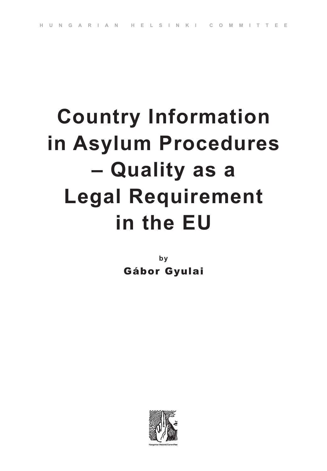## **Country Information in Asylum Procedures – Quality as a Legal Requirement in the EU**

**by**  Gábor Gyulai

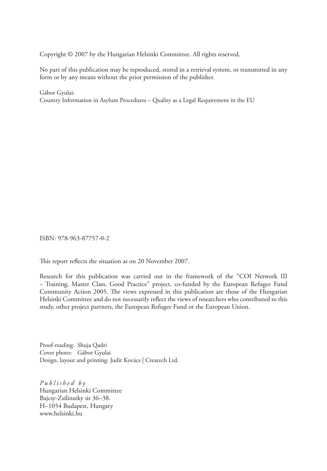Copyright © 2007 by the Hungarian Helsinki Committee. All rights reserved.

No part of this publication may be reproduced, stored in a retrieval system, or transmitted in any form or by any means without the prior permission of the publisher.

Gábor Gyulai: Country Information in Asylum Procedures – Quality as a Legal Requirement in the EU

ISBN: 978-963-87757-0-2

This report reflects the situation as on 20 November 2007.

Research for this publication was carried out in the framework of the "COI Network III – Training, Master Class, Good Practice" project, co-funded by the European Refugee Fund Community Action 2005. The views expressed in this publication are those of the Hungarian Helsinki Committee and do not necessarily reflect the views of researchers who contributed to this study, other project partners, the European Refugee Fund or the European Union.

Proof-reading: Shuja Qadri Cover photo: Gábor Gyulai Design, layout and printing: Judit Kovács | Createch Ltd.

*Published by* Hungarian Helsinki Committee Bajcsy-Zsilinszky út 36–38. H–1054 Budapest, Hungary www.helsinki.hu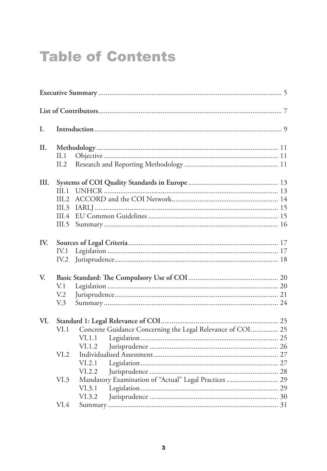### **Table of Contents**

| L.   |                                                       |                                                                                |  |  |  |
|------|-------------------------------------------------------|--------------------------------------------------------------------------------|--|--|--|
| Н.   | II. 1<br>II.2                                         |                                                                                |  |  |  |
| III. | III.1<br>III.2<br>III.3<br>III.4<br>III.5             |                                                                                |  |  |  |
| IV.  | IV.1<br>IV.2                                          |                                                                                |  |  |  |
| V.   | V <sub>1</sub><br>V <sub>12</sub><br>V <sub>0</sub> 3 |                                                                                |  |  |  |
| VI.  | VI.1                                                  | Concrete Guidance Concerning the Legal Relevance of COI 25<br>VI.1.1<br>VI.1.2 |  |  |  |
|      | VI.2                                                  | VI.2.1<br>VI.2.2                                                               |  |  |  |
|      | VI.3                                                  | Mandatory Examination of "Actual" Legal Practices  29<br>VI.3.1<br>VI.3.2      |  |  |  |
|      | VI.4                                                  |                                                                                |  |  |  |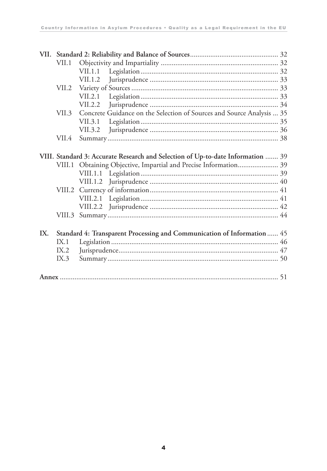|     | VII.1 |                                                                                 |  |
|-----|-------|---------------------------------------------------------------------------------|--|
|     |       |                                                                                 |  |
|     |       | VII.1.2                                                                         |  |
|     | VII.2 |                                                                                 |  |
|     |       | VII.2.1                                                                         |  |
|     |       | VII.2.2                                                                         |  |
|     | VII.3 | Concrete Guidance on the Selection of Sources and Source Analysis  35           |  |
|     |       | VII.3.1                                                                         |  |
|     |       | VII.3.2                                                                         |  |
|     | VII.4 |                                                                                 |  |
|     |       |                                                                                 |  |
|     |       | VIII. Standard 3: Accurate Research and Selection of Up-to-date Information  39 |  |
|     |       | VIII.1 Obtaining Objective, Impartial and Precise Information 39                |  |
|     |       |                                                                                 |  |
|     |       |                                                                                 |  |
|     |       |                                                                                 |  |
|     |       |                                                                                 |  |
|     |       |                                                                                 |  |
|     |       |                                                                                 |  |
|     |       |                                                                                 |  |
| IX. |       | Standard 4: Transparent Processing and Communication of Information 45          |  |
|     | IX.1  |                                                                                 |  |
|     | IX.2  |                                                                                 |  |
|     | IX.3  |                                                                                 |  |
|     |       |                                                                                 |  |
|     |       |                                                                                 |  |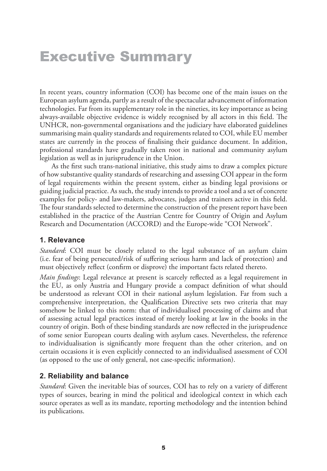### Executive Summary

In recent years, country information (COI) has become one of the main issues on the European asylum agenda, partly as a result of the spectacular advancement of information technologies. Far from its supplementary role in the nineties, its key importance as being always-available objective evidence is widely recognised by all actors in this field. The UNHCR, non-governmental organisations and the judiciary have elaborated guidelines summarising main quality standards and requirements related to COI, while EU member states are currently in the process of finalising their guidance document. In addition, professional standards have gradually taken root in national and community asylum legislation as well as in jurisprudence in the Union.

As the first such trans-national initiative, this study aims to draw a complex picture of how substantive quality standards of researching and assessing COI appear in the form of legal requirements within the present system, either as binding legal provisions or guiding judicial practice. As such, the study intends to provide a tool and a set of concrete examples for policy- and law-makers, advocates, judges and trainers active in this field. The four standards selected to determine the construction of the present report have been established in the practice of the Austrian Centre for Country of Origin and Asylum Research and Documentation (ACCORD) and the Europe-wide "COI Network".

#### **1. Relevance**

*Standard*: COI must be closely related to the legal substance of an asylum claim (i.e. fear of being persecuted/risk of suffering serious harm and lack of protection) and must objectively reflect (confirm or disprove) the important facts related thereto.

*Main findings*: Legal relevance at present is scarcely reflected as a legal requirement in the EU, as only Austria and Hungary provide a compact definition of what should be understood as relevant COI in their national asylum legislation. Far from such a comprehensive interpretation, the Qualification Directive sets two criteria that may somehow be linked to this norm: that of individualised processing of claims and that of assessing actual legal practices instead of merely looking at law in the books in the country of origin. Both of these binding standards are now reflected in the jurisprudence of some senior European courts dealing with asylum cases. Nevertheless, the reference to individualisation is significantly more frequent than the other criterion, and on certain occasions it is even explicitly connected to an individualised assessment of COI (as opposed to the use of only general, not case-specific information).

#### **2. Reliability and balance**

*Standard*: Given the inevitable bias of sources, COI has to rely on a variety of different types of sources, bearing in mind the political and ideological context in which each source operates as well as its mandate, reporting methodology and the intention behind its publications.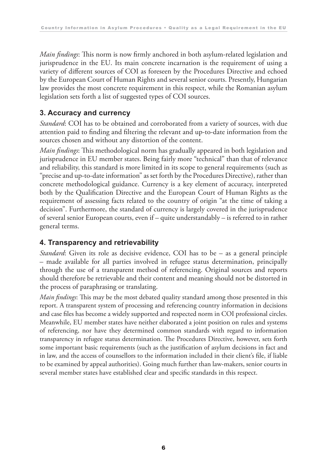*Main findings*: This norm is now firmly anchored in both asylum-related legislation and jurisprudence in the EU. Its main concrete incarnation is the requirement of using a variety of different sources of COI as foreseen by the Procedures Directive and echoed by the European Court of Human Rights and several senior courts. Presently, Hungarian law provides the most concrete requirement in this respect, while the Romanian asylum legislation sets forth a list of suggested types of COI sources.

#### **3. Accuracy and currency**

*Standard*: COI has to be obtained and corroborated from a variety of sources, with due attention paid to finding and filtering the relevant and up-to-date information from the sources chosen and without any distortion of the content.

*Main findings*: This methodological norm has gradually appeared in both legislation and jurisprudence in EU member states. Being fairly more "technical" than that of relevance and reliability, this standard is more limited in its scope to general requirements (such as "precise and up-to-date information" as set forth by the Procedures Directive), rather than concrete methodological guidance. Currency is a key element of accuracy, interpreted both by the Qualification Directive and the European Court of Human Rights as the requirement of assessing facts related to the country of origin "at the time of taking a decision". Furthermore, the standard of currency is largely covered in the jurisprudence of several senior European courts, even if – quite understandably – is referred to in rather general terms.

#### **4. Transparency and retrievability**

*Standard*: Given its role as decisive evidence, COI has to be – as a general principle – made available for all parties involved in refugee status determination, principally through the use of a transparent method of referencing. Original sources and reports should therefore be retrievable and their content and meaning should not be distorted in the process of paraphrasing or translating.

*Main findings*: This may be the most debated quality standard among those presented in this report. A transparent system of processing and referencing country information in decisions and case files has become a widely supported and respected norm in COI professional circles. Meanwhile, EU member states have neither elaborated a joint position on rules and systems of referencing, nor have they determined common standards with regard to information transparency in refugee status determination. The Procedures Directive, however, sets forth some important basic requirements (such as the justification of asylum decisions in fact and in law, and the access of counsellors to the information included in their client's file, if liable to be examined by appeal authorities). Going much further than law-makers, senior courts in several member states have established clear and specific standards in this respect.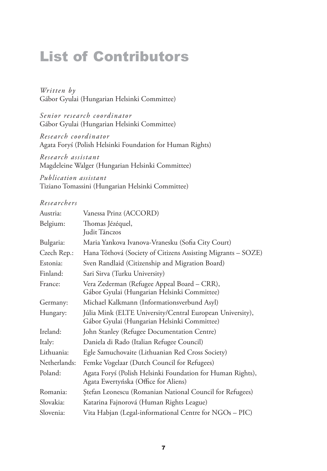### List of Contributors

*Written by* Gábor Gyulai (Hungarian Helsinki Committee)

*Senior research coordinator* Gábor Gyulai (Hungarian Helsinki Committee)

*Research coordinator* Agata Foryś (Polish Helsinki Foundation for Human Rights)

*Research assistant* Magdeleine Walger (Hungarian Helsinki Committee)

*Publication assistant* Tiziano Tomassini (Hungarian Helsinki Committee)

#### *Researchers*

| Austria:     | Vanessa Prinz (ACCORD)                                                                                   |
|--------------|----------------------------------------------------------------------------------------------------------|
| Belgium:     | Thomas Jézéquel,<br>Judit Tánczos                                                                        |
| Bulgaria:    | Maria Yankova Ivanova-Vranesku (Sofia City Court)                                                        |
| Czech Rep.:  | Hana Tóthová (Society of Citizens Assisting Migrants - SOZE)                                             |
| Estonia:     | Sven Randlaid (Citizenship and Migration Board)                                                          |
| Finland:     | Sari Sirva (Turku University)                                                                            |
| France:      | Vera Zederman (Refugee Appeal Board – CRR),<br>Gábor Gyulai (Hungarian Helsinki Committee)               |
| Germany:     | Michael Kalkmann (Informationsverbund Asyl)                                                              |
| Hungary:     | Júlia Mink (ELTE University/Central European University),<br>Gábor Gyulai (Hungarian Helsinki Committee) |
| Ireland:     | John Stanley (Refugee Documentation Centre)                                                              |
| Italy:       | Daniela di Rado (Italian Refugee Council)                                                                |
| Lithuania:   | Egle Samuchovaite (Lithuanian Red Cross Society)                                                         |
| Netherlands: | Femke Vogelaar (Dutch Council for Refugees)                                                              |
| Poland:      | Agata Foryś (Polish Helsinki Foundation for Human Rights),<br>Agata Ewertyńska (Office for Aliens)       |
| Romania:     | Ștefan Leonescu (Romanian National Council for Refugees)                                                 |
| Slovakia:    | Katarina Fajnorová (Human Rights League)                                                                 |
| Slovenia:    | Vita Habjan (Legal-informational Centre for NGOs - PIC)                                                  |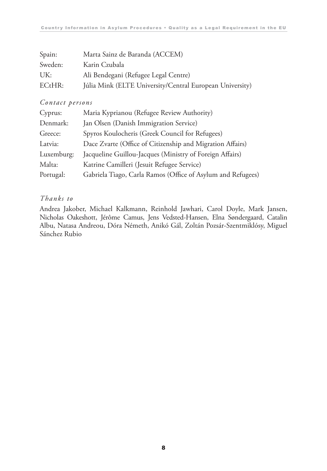| Spain:  | Marta Sainz de Baranda (ACCEM)                           |
|---------|----------------------------------------------------------|
| Sweden: | Karin Czubala                                            |
| UK:     | Ali Bendegani (Refugee Legal Centre)                     |
| ECHR:   | Júlia Mink (ELTE University/Central European University) |

#### *Contact persons*

| Cyprus:    | Maria Kyprianou (Refugee Review Authority)                  |
|------------|-------------------------------------------------------------|
| Denmark:   | Jan Olsen (Danish Immigration Service)                      |
| Greece:    | Spyros Koulocheris (Greek Council for Refugees)             |
| Latvia:    | Dace Zvarte (Office of Citizenship and Migration Affairs)   |
| Luxemburg: | Jacqueline Guillou-Jacques (Ministry of Foreign Affairs)    |
| Malta:     | Katrine Camilleri (Jesuit Refugee Service)                  |
| Portugal:  | Gabriela Tiago, Carla Ramos (Office of Asylum and Refugees) |

#### *Thanks to*

Andrea Jakober, Michael Kalkmann, Reinhold Jawhari, Carol Doyle, Mark Jansen, Nicholas Oakeshott, Jérôme Camus, Jens Vedsted-Hansen, Elna Søndergaard, Catalin Albu, Natasa Andreou, Dóra Németh, Anikó Gál, Zoltán Pozsár-Szentmiklósy, Miguel Sánchez Rubio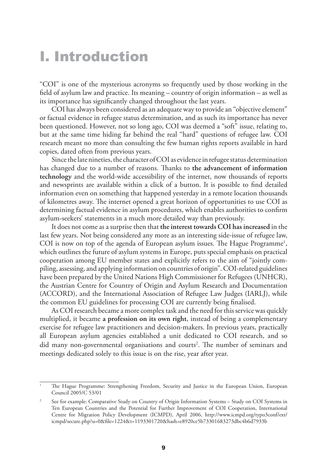### I. Introduction

"COI" is one of the mysterious acronyms so frequently used by those working in the field of asylum law and practice. Its meaning – country of origin information – as well as its importance has significantly changed throughout the last years.

COI has always been considered as an adequate way to provide an "objective element" or factual evidence in refugee status determination, and as such its importance has never been questioned. However, not so long ago, COI was deemed a "soft" issue, relating to, but at the same time hiding far behind the real "hard" questions of refugee law. COI research meant no more than consulting the few human rights reports available in hard copies, dated often from previous years.

Since the late nineties, the character of COI as evidence in refugee status determination has changed due to a number of reasons. Thanks to **the advancement of information technology** and the world-wide accessibility of the internet, now thousands of reports and newsprints are available within a click of a button. It is possible to find detailed information even on something that happened yesterday in a remote location thousands of kilometres away. The internet opened a great horizon of opportunities to use COI as determining factual evidence in asylum procedures, which enables authorities to confirm asylum-seekers' statements in a much more detailed way than previously.

It does not come as a surprise then that **the interest towards COI has increased** in the last few years. Not being considered any more as an interesting side-issue of refugee law, COI is now on top of the agenda of European asylum issues. The Hague Programme<sup>1</sup>, which outlines the future of asylum systems in Europe, puts special emphasis on practical cooperation among EU member states and explicitly refers to the aim of "jointly compiling, assessing, and applying information on countries of origin". COI-related guidelines have been prepared by the United Nations High Commissioner for Refugees (UNHCR), the Austrian Centre for Country of Origin and Asylum Research and Documentation (ACCORD), and the International Association of Refugee Law Judges (IARLJ), while the common EU guidelines for processing COI are currently being finalised.

As COI research became a more complex task and the need for this service was quickly multiplied, it became **a profession on its own right**, instead of being a complementary exercise for refugee law practitioners and decision-makers. In previous years, practically all European asylum agencies established a unit dedicated to COI research, and so did many non-governmental organisations and courts<sup>2</sup>. The number of seminars and meetings dedicated solely to this issue is on the rise, year after year.

<sup>1</sup> The Hague Programme: Strengthening Freedom, Security and Justice in the European Union, European Council 2005/C 53/01

<sup>2</sup> See for example: Comparative Study on Country of Origin Information Systems – Study on COI Systems in Ten European Countries and the Potential for Further Improvement of COI Cooperation, International Centre for Migration Policy Development (ICMPD), April 2006, http://www.icmpd.org/typo3conf/ext/ icmpd/secure.php?u=0&file=1224&t=1193301720&hash=e8920ce5b73301683273dbc4b6d7933b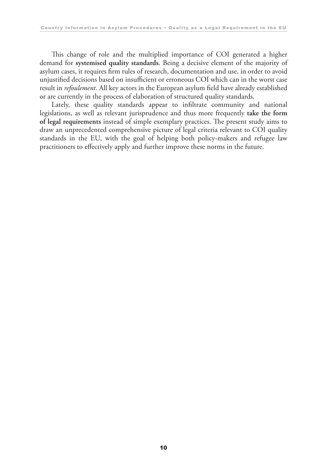This change of role and the multiplied importance of COI generated a higher demand for **systemised quality standards**. Being a decisive element of the majority of asylum cases, it requires firm rules of research, documentation and use, in order to avoid unjustified decisions based on insufficient or erroneous COI which can in the worst case result in *refoulement*. All key actors in the European asylum field have already established or are currently in the process of elaboration of structured quality standards.

Lately, these quality standards appear to infiltrate community and national legislations, as well as relevant jurisprudence and thus more frequently **take the form of legal requirements** instead of simple exemplary practices. The present study aims to draw an unprecedented comprehensive picture of legal criteria relevant to COI quality standards in the EU, with the goal of helping both policy-makers and refugee law practitioners to effectively apply and further improve these norms in the future.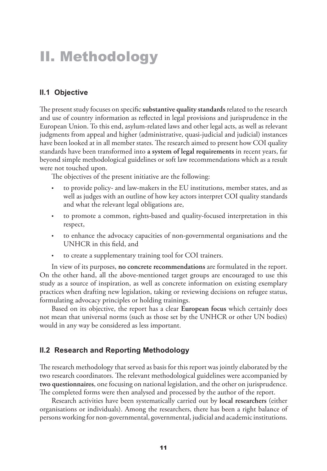### II. Methodology

#### **II.1 Objective**

The present study focuses on specific **substantive quality standards** related to the research and use of country information as reflected in legal provisions and jurisprudence in the European Union. To this end, asylum-related laws and other legal acts, as well as relevant judgments from appeal and higher (administrative, quasi-judicial and judicial) instances have been looked at in all member states. The research aimed to present how COI quality standards have been transformed into **a system of legal requirements** in recent years, far beyond simple methodological guidelines or soft law recommendations which as a result were not touched upon.

The objectives of the present initiative are the following:

- to provide policy- and law-makers in the EU institutions, member states, and as well as judges with an outline of how key actors interpret COI quality standards and what the relevant legal obligations are,
- to promote a common, rights-based and quality-focused interpretation in this respect,
- to enhance the advocacy capacities of non-governmental organisations and the UNHCR in this field, and
- to create a supplementary training tool for COI trainers.

In view of its purposes, **no concrete recommendations** are formulated in the report. On the other hand, all the above-mentioned target groups are encouraged to use this study as a source of inspiration, as well as concrete information on existing exemplary practices when drafting new legislation, taking or reviewing decisions on refugee status, formulating advocacy principles or holding trainings.

Based on its objective, the report has a clear **European focus** which certainly does not mean that universal norms (such as those set by the UNHCR or other UN bodies) would in any way be considered as less important.

#### **II.2 Research and Reporting Methodology**

The research methodology that served as basis for this report was jointly elaborated by the two research coordinators. The relevant methodological guidelines were accompanied by **two questionnaires**, one focusing on national legislation, and the other on jurisprudence. The completed forms were then analysed and processed by the author of the report.

Research activities have been systematically carried out by **local researchers** (either organisations or individuals). Among the researchers, there has been a right balance of persons working for non-governmental, governmental, judicial and academic institutions.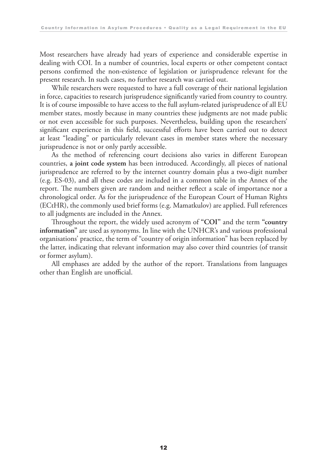Most researchers have already had years of experience and considerable expertise in dealing with COI. In a number of countries, local experts or other competent contact persons confirmed the non-existence of legislation or jurisprudence relevant for the present research. In such cases, no further research was carried out.

While researchers were requested to have a full coverage of their national legislation in force, capacities to research jurisprudence significantly varied from country to country. It is of course impossible to have access to the full asylum-related jurisprudence of all EU member states, mostly because in many countries these judgments are not made public or not even accessible for such purposes. Nevertheless, building upon the researchers' significant experience in this field, successful efforts have been carried out to detect at least "leading" or particularly relevant cases in member states where the necessary jurisprudence is not or only partly accessible.

As the method of referencing court decisions also varies in different European countries, **a joint code system** has been introduced. Accordingly, all pieces of national jurisprudence are referred to by the internet country domain plus a two-digit number (e.g. ES-03), and all these codes are included in a common table in the Annex of the report. The numbers given are random and neither reflect a scale of importance nor a chronological order. As for the jurisprudence of the European Court of Human Rights (ECtHR), the commonly used brief forms (e.g. Mamatkulov) are applied. Full references to all judgments are included in the Annex.

Throughout the report, the widely used acronym of **"COI"** and the term **"country information"** are used as synonyms. In line with the UNHCR's and various professional organisations' practice, the term of "country of origin information" has been replaced by the latter, indicating that relevant information may also cover third countries (of transit or former asylum).

All emphases are added by the author of the report. Translations from languages other than English are unofficial.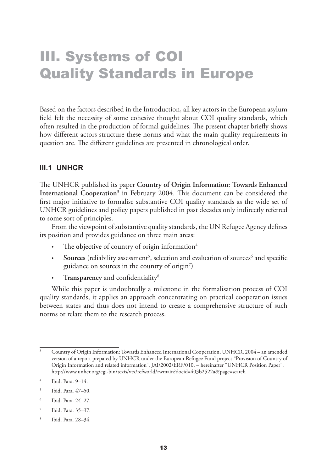### III. Systems of COI Quality Standards in Europe

Based on the factors described in the Introduction, all key actors in the European asylum field felt the necessity of some cohesive thought about COI quality standards, which often resulted in the production of formal guidelines. The present chapter briefly shows how different actors structure these norms and what the main quality requirements in question are. The different guidelines are presented in chronological order.

#### **III.1 UNHCR**

The UNHCR published its paper **Country of Origin Information: Towards Enhanced International Cooperation**<sup>3</sup> in February 2004. This document can be considered the first major initiative to formalise substantive COI quality standards as the wide set of UNHCR guidelines and policy papers published in past decades only indirectly referred to some sort of principles.

From the viewpoint of substantive quality standards, the UN Refugee Agency defines its position and provides guidance on three main areas:

- The **objective** of country of origin information<sup>4</sup>
- Sources (reliability assessment<sup>5</sup>, selection and evaluation of sources<sup>6</sup> and specific guidance on sources in the country of origin<sup>7</sup>)
- **Transparency** and confidentiality8

While this paper is undoubtedly a milestone in the formalisation process of COI quality standards, it applies an approach concentrating on practical cooperation issues between states and thus does not intend to create a comprehensive structure of such norms or relate them to the research process.

- 5 Ibid. Para. 47–50.
- 6 Ibid. Para. 24–27.
- 7 Ibid. Para. 35–37.
- 8 Ibid. Para. 28–34.

<sup>3</sup> Country of Origin Information: Towards Enhanced International Cooperation, UNHCR, 2004 – an amended version of a report prepared by UNHCR under the European Refugee Fund project "Provision of Country of Origin Information and related information", JAI/2002/ERF/010. – hereinafter "UNHCR Position Paper", http://www.unhcr.org/cgi-bin/texis/vtx/refworld/rwmain?docid=403b2522a&page=search

<sup>4</sup> Ibid. Para. 9–14.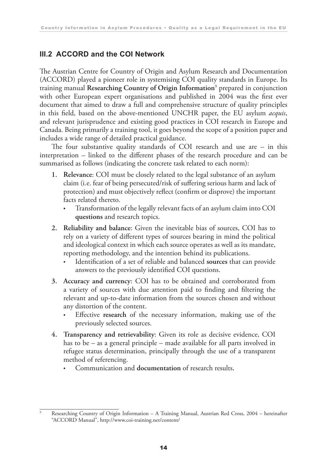#### **III.2 ACCORD and the COI Network**

The Austrian Centre for Country of Origin and Asylum Research and Documentation (ACCORD) played a pioneer role in systemising COI quality standards in Europe. Its training manual **Researching Country of Origin Information**<sup>9</sup> prepared in conjunction with other European expert organisations and published in 2004 was the first ever document that aimed to draw a full and comprehensive structure of quality principles in this field, based on the above-mentioned UNCHR paper, the EU asylum *acquis*, and relevant jurisprudence and existing good practices in COI research in Europe and Canada. Being primarily a training tool, it goes beyond the scope of a position paper and includes a wide range of detailed practical guidance.

The four substantive quality standards of COI research and use are – in this interpretation – linked to the different phases of the research procedure and can be summarised as follows (indicating the concrete task related to each norm):

- **1. Relevance**: COI must be closely related to the legal substance of an asylum claim (i.e. fear of being persecuted/risk of suffering serious harm and lack of protection) and must objectively reflect (confirm or disprove) the important facts related thereto.
	- Transformation of the legally relevant facts of an asylum claim into COI **questions** and research topics.
- **2. Reliability and balance**: Given the inevitable bias of sources, COI has to rely on a variety of different types of sources bearing in mind the political and ideological context in which each source operates as well as its mandate, reporting methodology, and the intention behind its publications.
	- Identification of a set of reliable and balanced **sources** that can provide answers to the previously identified COI questions.
- **3. Accuracy and currency**: COI has to be obtained and corroborated from a variety of sources with due attention paid to finding and filtering the relevant and up-to-date information from the sources chosen and without any distortion of the content.
	- Effective **research** of the necessary information, making use of the previously selected sources.
- **4. Transparency and retrievability**: Given its role as decisive evidence, COI has to be – as a general principle – made available for all parts involved in refugee status determination, principally through the use of a transparent method of referencing.
	- Communication and **documentation** of research results**.**

<sup>9</sup> Researching Country of Origin Information – A Training Manual, Austrian Red Cross, 2004 – hereinafter "ACCORD Manual", http://www.coi-training.net/content/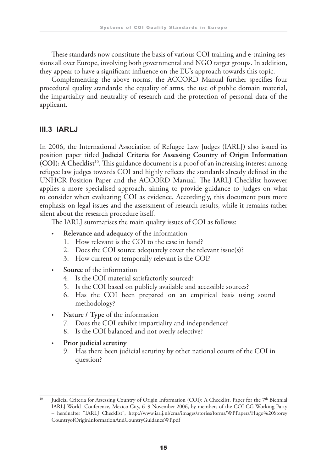These standards now constitute the basis of various COI training and e-training sessions all over Europe, involving both governmental and NGO target groups. In addition, they appear to have a significant influence on the EU's approach towards this topic.

Complementing the above norms, the ACCORD Manual further specifies four procedural quality standards: the equality of arms, the use of public domain material, the impartiality and neutrality of research and the protection of personal data of the applicant.

#### **III.3 IARLJ**

In 2006, the International Association of Refugee Law Judges (IARLJ) also issued its position paper titled **Judicial Criteria for Assessing Country of Origin Information (COI): A Checklist**10. This guidance document is a proof of an increasing interest among refugee law judges towards COI and highly reflects the standards already defined in the UNHCR Position Paper and the ACCORD Manual. The IARLJ Checklist however applies a more specialised approach, aiming to provide guidance to judges on what to consider when evaluating COI as evidence. Accordingly, this document puts more emphasis on legal issues and the assessment of research results, while it remains rather silent about the research procedure itself.

The IARLJ summarises the main quality issues of COI as follows:

- **Relevance and adequacy** of the information
	- 1. How relevant is the COI to the case in hand?
	- 2. Does the COI source adequately cover the relevant issue(s)?
	- 3. How current or temporally relevant is the COI?
- Source of the information
	- 4. Is the COI material satisfactorily sourced?
	- 5. Is the COI based on publicly available and accessible sources?
	- 6. Has the COI been prepared on an empirical basis using sound methodology?
- **Nature / Type** of the information
	- 7. Does the COI exhibit impartiality and independence?
	- 8. Is the COI balanced and not overly selective?
- **Prior judicial scrutiny**
	- 9. Has there been judicial scrutiny by other national courts of the COI in question?

<sup>10</sup> Judicial Criteria for Assessing Country of Origin Information (COI): A Checklist, Paper for the 7th Biennial IARLJ World Conference, Mexico City, 6–9 November 2006, by members of the COI-CG Working Party – hereinafter "IARLJ Checklist", http://www.iarlj.nl/cms/images/stories/forms/WPPapers/Hugo%20Storey CountryofOriginInformationAndCountryGuidanceWP.pdf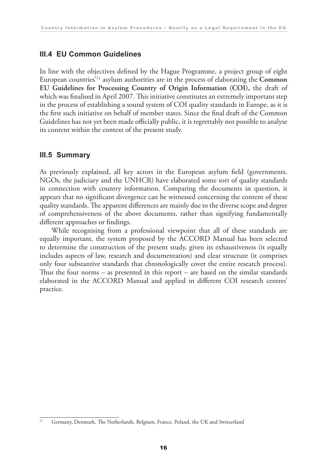#### **III.4 EU Common Guidelines**

In line with the objectives defined by the Hague Programme, a project group of eight European countries'11 asylum authorities are in the process of elaborating the **Common EU Guidelines for Processing Country of Origin Information (COI),** the draft of which was finalised in April 2007. This initiative constitutes an extremely important step in the process of establishing a sound system of COI quality standards in Europe, as it is the first such initiative on behalf of member states. Since the final draft of the Common Guidelines has not yet been made officially public, it is regrettably not possible to analyse its content within the context of the present study.

#### **III.5 Summary**

As previously explained, all key actors in the European asylum field (governments, NGOs, the judiciary and the UNHCR) have elaborated some sort of quality standards in connection with country information. Comparing the documents in question, it appears that no significant divergence can be witnessed concerning the content of these quality standards. The apparent differences are mainly due to the diverse scope and degree of comprehensiveness of the above documents, rather than signifying fundamentally different approaches or findings.

While recognising from a professional viewpoint that all of these standards are equally important, the system proposed by the ACCORD Manual has been selected to determine the construction of the present study, given its exhaustiveness (it equally includes aspects of law, research and documentation) and clear structure (it comprises only four substantive standards that chronologically cover the entire research process). Thus the four norms – as presented in this report – are based on the similar standards elaborated in the ACCORD Manual and applied in different COI research centres' practice.

<sup>&</sup>lt;sup>11</sup> Germany, Denmark, The Netherlands, Belgium, France, Poland, the UK and Switzerland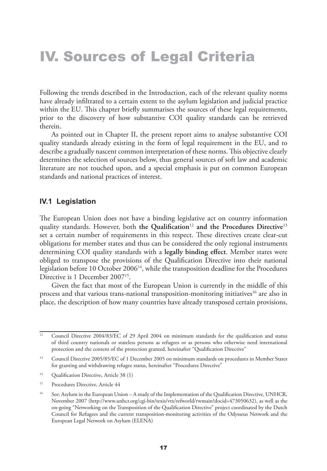### IV. Sources of Legal Criteria

Following the trends described in the Introduction, each of the relevant quality norms have already infiltrated to a certain extent to the asylum legislation and judicial practice within the EU. This chapter briefly summarises the sources of these legal requirements, prior to the discovery of how substantive COI quality standards can be retrieved therein.

As pointed out in Chapter II, the present report aims to analyse substantive COI quality standards already existing in the form of legal requirement in the EU, and to describe a gradually nascent common interpretation of these norms. This objective clearly determines the selection of sources below, thus general sources of soft law and academic literature are not touched upon, and a special emphasis is put on common European standards and national practices of interest.

#### **IV.1 Legislation**

The European Union does not have a binding legislative act on country information quality standards. However, both **the Qualification**<sup>12</sup> **and the Procedures Directive**<sup>13</sup> set a certain number of requirements in this respect. These directives create clear-cut obligations for member states and thus can be considered the only regional instruments determining COI quality standards with a **legally binding effect**. Member states were obliged to transpose the provisions of the Qualification Directive into their national legislation before 10 October 2006<sup>14</sup>, while the transposition deadline for the Procedures Directive is 1 December 2007<sup>15</sup>.

Given the fact that most of the European Union is currently in the middle of this process and that various trans-national transposition-monitoring initiatives<sup>16</sup> are also in place, the description of how many countries have already transposed certain provisions,

<sup>14</sup> Qualification Directive, Article 38 (1)

<sup>&</sup>lt;sup>12</sup> Council Directive 2004/83/EC of 29 April 2004 on minimum standards for the qualification and status of third country nationals or stateless persons as refugees or as persons who otherwise need international protection and the content of the protection granted, hereinafter "Qualification Directive"

<sup>&</sup>lt;sup>13</sup> Council Directive 2005/85/EC of 1 December 2005 on minimum standards on procedures in Member States for granting and withdrawing refugee status, hereinafter "Procedures Directive"

<sup>15</sup> Procedures Directive, Article 44

<sup>&</sup>lt;sup>16</sup> See: Asylum in the European Union – A study of the Implementation of the Qualification Directive, UNHCR, November 2007 (http://www.unhcr.org/cgi-bin/texis/vtx/refworld/rwmain?docid=473050632), as well as the on-going "Networking on the Transposition of the Qualification Directive" project coordinated by the Dutch Council for Refugees and the current transposition-monitoring activities of the Odysseus Network and the European Legal Network on Asylum (ELENA)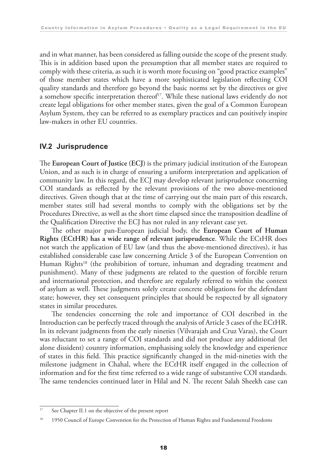and in what manner, has been considered as falling outside the scope of the present study. This is in addition based upon the presumption that all member states are required to comply with these criteria, as such it is worth more focusing on "good practice examples" of those member states which have a more sophisticated legislation reflecting COI quality standards and therefore go beyond the basic norms set by the directives or give a somehow specific interpretation thereof<sup>17</sup>. While these national laws evidently do not create legal obligations for other member states, given the goal of a Common European Asylum System, they can be referred to as exemplary practices and can positively inspire law-makers in other EU countries.

#### **IV.2 Jurisprudence**

The **European Court of Justice (ECJ)** is the primary judicial institution of the European Union, and as such is in charge of ensuring a uniform interpretation and application of community law. In this regard, the ECJ may develop relevant jurisprudence concerning COI standards as reflected by the relevant provisions of the two above-mentioned directives. Given though that at the time of carrying out the main part of this research, member states still had several months to comply with the obligations set by the Procedures Directive, as well as the short time elapsed since the transposition deadline of the Qualification Directive the ECJ has not ruled in any relevant case yet.

The other major pan-European judicial body, the **European Court of Human Rights (ECtHR) has a wide range of relevant jurisprudence**. While the ECtHR does not watch the application of EU law (and thus the above-mentioned directives), it has established considerable case law concerning Article 3 of the European Convention on Human Rights<sup>18</sup> (the prohibition of torture, inhuman and degrading treatment and punishment). Many of these judgments are related to the question of forcible return and international protection, and therefore are regularly referred to within the context of asylum as well. These judgments solely create concrete obligations for the defendant state; however, they set consequent principles that should be respected by all signatory states in similar procedures.

The tendencies concerning the role and importance of COI described in the Introduction can be perfectly traced through the analysis of Article 3 cases of the ECtHR. In its relevant judgments from the early nineties (Vilvarajah and Cruz Varas), the Court was reluctant to set a range of COI standards and did not produce any additional (let alone dissident) country information, emphasising solely the knowledge and experience of states in this field. This practice significantly changed in the mid-nineties with the milestone judgment in Chahal, where the ECtHR itself engaged in the collection of information and for the first time referred to a wide range of substantive COI standards. The same tendencies continued later in Hilal and N. The recent Salah Sheekh case can

<sup>&</sup>lt;sup>17</sup> See Chapter II.1 on the objective of the present report

<sup>&</sup>lt;sup>18</sup> 1950 Council of Europe Convention for the Protection of Human Rights and Fundamental Freedoms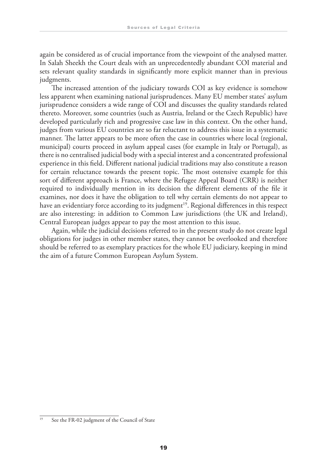again be considered as of crucial importance from the viewpoint of the analysed matter. In Salah Sheekh the Court deals with an unprecedentedly abundant COI material and sets relevant quality standards in significantly more explicit manner than in previous judgments.

The increased attention of the judiciary towards COI as key evidence is somehow less apparent when examining national jurisprudences. Many EU member states' asylum jurisprudence considers a wide range of COI and discusses the quality standards related thereto. Moreover, some countries (such as Austria, Ireland or the Czech Republic) have developed particularly rich and progressive case law in this context. On the other hand, judges from various EU countries are so far reluctant to address this issue in a systematic manner. The latter appears to be more often the case in countries where local (regional, municipal) courts proceed in asylum appeal cases (for example in Italy or Portugal), as there is no centralised judicial body with a special interest and a concentrated professional experience in this field. Different national judicial traditions may also constitute a reason for certain reluctance towards the present topic. The most ostensive example for this sort of different approach is France, where the Refugee Appeal Board (CRR) is neither required to individually mention in its decision the different elements of the file it examines, nor does it have the obligation to tell why certain elements do not appear to have an evidentiary force according to its judgment<sup>19</sup>. Regional differences in this respect are also interesting: in addition to Common Law jurisdictions (the UK and Ireland), Central European judges appear to pay the most attention to this issue.

Again, while the judicial decisions referred to in the present study do not create legal obligations for judges in other member states, they cannot be overlooked and therefore should be referred to as exemplary practices for the whole EU judiciary, keeping in mind the aim of a future Common European Asylum System.

<sup>&</sup>lt;sup>19</sup> See the FR-02 judgment of the Council of State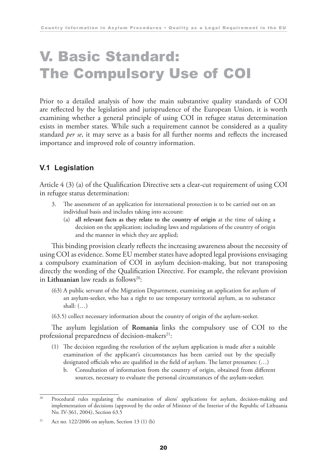### V. Basic Standard: The Compulsory Use of COI

Prior to a detailed analysis of how the main substantive quality standards of COI are reflected by the legislation and jurisprudence of the European Union, it is worth examining whether a general principle of using COI in refugee status determination exists in member states. While such a requirement cannot be considered as a quality standard *per se*, it may serve as a basis for all further norms and reflects the increased importance and improved role of country information.

#### **V.1 Legislation**

Article 4 (3) (a) of the Qualification Directive sets a clear-cut requirement of using COI in refugee status determination:

- 3. The assessment of an application for international protection is to be carried out on an individual basis and includes taking into account:
	- (a) **all relevant facts as they relate to the country of origin** at the time of taking a decision on the application; including laws and regulations of the country of origin and the manner in which they are applied;

This binding provision clearly reflects the increasing awareness about the necessity of using COI as evidence. Some EU member states have adopted legal provisions envisaging a compulsory examination of COI in asylum decision-making, but not transposing directly the wording of the Qualification Directive. For example, the relevant provision in **Lithuanian** law reads as follows<sup>20</sup>:

- (63) A public servant of the Migration Department, examining an application for asylum of an asylum-seeker, who has a right to use temporary territorial asylum, as to substance shall: (…)
- (63.5) collect necessary information about the country of origin of the asylum-seeker.

The asylum legislation of **Romania** links the compulsory use of COI to the professional preparedness of decision-makers $21$ :

- (1) The decision regarding the resolution of the asylum application is made after a suitable examination of the applicant's circumstances has been carried out by the specially designated officials who are qualified in the field of asylum. The latter presumes: (…)
	- b. Consultation of information from the country of origin, obtained from different sources, necessary to evaluate the personal circumstances of the asylum-seeker.

<sup>&</sup>lt;sup>20</sup> Procedural rules regulating the examination of aliens' applications for asylum, decision-making and implementation of decisions (approved by the order of Minister of the Interior of the Republic of Lithuania No. IV-361, 2004), Section 63.5

<sup>&</sup>lt;sup>21</sup> Act no. 122/2006 on asylum, Section 13 (1) (b)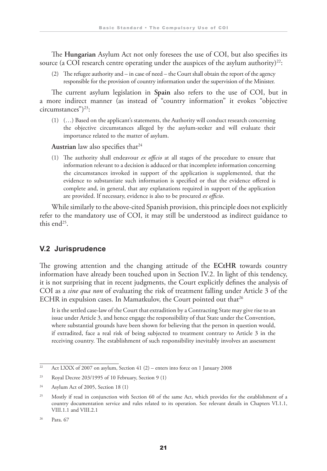The **Hungarian** Asylum Act not only foresees the use of COI, but also specifies its source (a COI research centre operating under the auspices of the asylum authority)<sup>22</sup>:

 (2) The refugee authority and – in case of need – the Court shall obtain the report of the agency responsible for the provision of country information under the supervision of the Minister.

The current asylum legislation in **Spain** also refers to the use of COI, but in a more indirect manner (as instead of "country information" it evokes "objective circumstances")<sup>23</sup>:

 (1) (…) Based on the applicant's statements, the Authority will conduct research concerning the objective circumstances alleged by the asylum-seeker and will evaluate their importance related to the matter of asylum.

Austrian law also specifies that<sup>24</sup>

 (1) The authority shall endeavour *ex officio* at all stages of the procedure to ensure that information relevant to a decision is adduced or that incomplete information concerning the circumstances invoked in support of the application is supplemented, that the evidence to substantiate such information is specified or that the evidence offered is complete and, in general, that any explanations required in support of the application are provided. If necessary, evidence is also to be procured *ex officio*.

While similarly to the above-cited Spanish provision, this principle does not explicitly refer to the mandatory use of COI, it may still be understood as indirect guidance to this end<sup>25</sup>.

#### **V.2 Jurisprudence**

The growing attention and the changing attitude of the **ECtHR** towards country information have already been touched upon in Section IV.2. In light of this tendency, it is not surprising that in recent judgments, the Court explicitly defines the analysis of COI as a *sine qua non* of evaluating the risk of treatment falling under Article 3 of the ECHR in expulsion cases. In Mamatkulov, the Court pointed out that<sup>26</sup>

 It is the settled case-law of the Court that extradition by a Contracting State may give rise to an issue under Article 3, and hence engage the responsibility of that State under the Convention, where substantial grounds have been shown for believing that the person in question would, if extradited, face a real risk of being subjected to treatment contrary to Article 3 in the receiving country. The establishment of such responsibility inevitably involves an assessment

 $\frac{22}{22}$  Act LXXX of 2007 on asylum, Section 41 (2) – enters into force on 1 January 2008

<sup>23</sup> Royal Decree 203/1995 of 10 February, Section 9 (1)

 $24$  Asylum Act of 2005, Section 18 (1)

<sup>&</sup>lt;sup>25</sup> Mostly if read in conjunction with Section 60 of the same Act, which provides for the establishment of a country documentation service and rules related to its operation. See relevant details in Chapters VI.1.1, VIII.1.1 and VIII.2.1

<sup>26</sup> Para. 67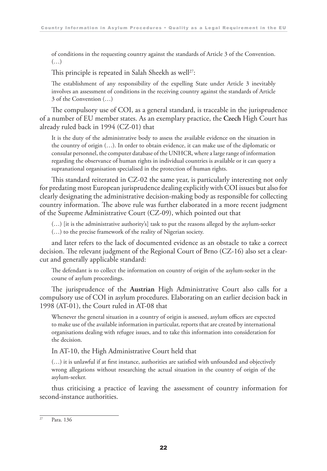of conditions in the requesting country against the standards of Article 3 of the Convention.  $(\ldots)$ 

This principle is repeated in Salah Sheekh as well<sup>27</sup>:

 The establishment of any responsibility of the expelling State under Article 3 inevitably involves an assessment of conditions in the receiving country against the standards of Article 3 of the Convention (…)

The compulsory use of COI, as a general standard, is traceable in the jurisprudence of a number of EU member states. As an exemplary practice, the **Czech** High Court has already ruled back in 1994 (CZ-01) that

 It is the duty of the administrative body to assess the available evidence on the situation in the country of origin (…). In order to obtain evidence, it can make use of the diplomatic or consular personnel, the computer database of the UNHCR, where a large range of information regarding the observance of human rights in individual countries is available or it can query a supranational organisation specialised in the protection of human rights.

This standard reiterated in CZ-02 the same year, is particularly interesting not only for predating most European jurisprudence dealing explicitly with COI issues but also for clearly designating the administrative decision-making body as responsible for collecting country information. The above rule was further elaborated in a more recent judgment of the Supreme Administrative Court (CZ-09), which pointed out that

(…) [it is the administrative authority's] task to put the reasons alleged by the asylum-seeker

(…) to the precise framework of the reality of Nigerian society.

and later refers to the lack of documented evidence as an obstacle to take a correct decision. The relevant judgment of the Regional Court of Brno (CZ-16) also set a clearcut and generally applicable standard:

 The defendant is to collect the information on country of origin of the asylum-seeker in the course of asylum proceedings.

The jurisprudence of the **Austrian** High Administrative Court also calls for a compulsory use of COI in asylum procedures. Elaborating on an earlier decision back in 1998 (AT-01), the Court ruled in AT-08 that

 Whenever the general situation in a country of origin is assessed, asylum offices are expected to make use of the available information in particular, reports that are created by international organisations dealing with refugee issues, and to take this information into consideration for the decision.

In AT-10, the High Administrative Court held that

 (…) it is unlawful if at first instance, authorities are satisfied with unfounded and objectively wrong allegations without researching the actual situation in the country of origin of the asylum-seeker.

thus criticising a practice of leaving the assessment of country information for second-instance authorities.

 $27$  Para. 136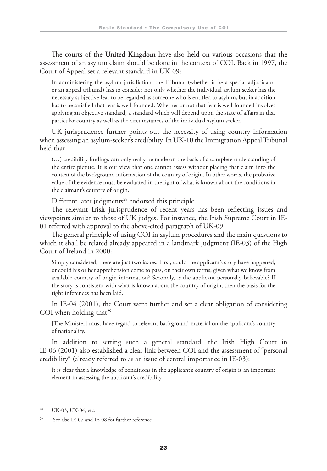The courts of the **United Kingdom** have also held on various occasions that the assessment of an asylum claim should be done in the context of COI. Back in 1997, the Court of Appeal set a relevant standard in UK-09:

 In administering the asylum jurisdiction, the Tribunal (whether it be a special adjudicator or an appeal tribunal) has to consider not only whether the individual asylum seeker has the necessary subjective fear to be regarded as someone who is entitled to asylum, but in addition has to be satisfied that fear is well-founded. Whether or not that fear is well-founded involves applying an objective standard, a standard which will depend upon the state of affairs in that particular country as well as the circumstances of the individual asylum seeker.

UK jurisprudence further points out the necessity of using country information when assessing an asylum-seeker's credibility. In UK-10 the Immigration Appeal Tribunal held that

 (…) credibility findings can only really be made on the basis of a complete understanding of the entire picture. It is our view that one cannot assess without placing that claim into the context of the background information of the country of origin. In other words, the probative value of the evidence must be evaluated in the light of what is known about the conditions in the claimant's country of origin.

Different later judgments<sup>28</sup> endorsed this principle.

The relevant **Irish** jurisprudence of recent years has been reflecting issues and viewpoints similar to those of UK judges. For instance, the Irish Supreme Court in IE-01 referred with approval to the above-cited paragraph of UK-09.

The general principle of using COI in asylum procedures and the main questions to which it shall be related already appeared in a landmark judgment (IE-03) of the High Court of Ireland in 2000:

 Simply considered, there are just two issues. First, could the applicant's story have happened, or could his or her apprehension come to pass, on their own terms, given what we know from available country of origin information? Secondly, is the applicant personally believable? If the story is consistent with what is known about the country of origin, then the basis for the right inferences has been laid.

In IE-04 (2001), the Court went further and set a clear obligation of considering COI when holding that $^{29}$ 

 [The Minister] must have regard to relevant background material on the applicant's country of nationality.

In addition to setting such a general standard, the Irish High Court in IE-06 (2001) also established a clear link between COI and the assessment of "personal credibility" (already referred to as an issue of central importance in IE-03):

 It is clear that a knowledge of conditions in the applicant's country of origin is an important element in assessing the applicant's credibility.

<sup>28</sup> UK-03, UK-04, etc.

<sup>29</sup> See also IE-07 and IE-08 for further reference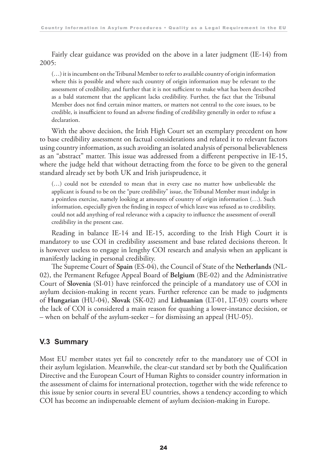Fairly clear guidance was provided on the above in a later judgment (IE-14) from 2005:

 (…) it is incumbent on the Tribunal Member to refer to available country of origin information where this is possible and where such country of origin information may be relevant to the assessment of credibility, and further that it is not sufficient to make what has been described as a bald statement that the applicant lacks credibility. Further, the fact that the Tribunal Member does not find certain minor matters, or matters not central to the core issues, to be credible, is insufficient to found an adverse finding of credibility generally in order to refuse a declaration.

With the above decision, the Irish High Court set an exemplary precedent on how to base credibility assessment on factual considerations and related it to relevant factors using country information, as such avoiding an isolated analysis of personal believableness as an "abstract" matter. This issue was addressed from a different perspective in IE-15, where the judge held that without detracting from the force to be given to the general standard already set by both UK and Irish jurisprudence, it

 (…) could not be extended to mean that in every case no matter how unbelievable the applicant is found to be on the "pure credibility" issue, the Tribunal Member must indulge in a pointless exercise, namely looking at amounts of country of origin information (…). Such information, especially given the finding in respect of which leave was refused as to credibility, could not add anything of real relevance with a capacity to influence the assessment of overall credibility in the present case.

Reading in balance IE-14 and IE-15, according to the Irish High Court it is mandatory to use COI in credibility assessment and base related decisions thereon. It is however useless to engage in lengthy COI research and analysis when an applicant is manifestly lacking in personal credibility.

The Supreme Court of **Spain** (ES-04), the Council of State of the **Netherlands** (NL-02), the Permanent Refugee Appeal Board of **Belgium** (BE-02) and the Administrative Court of **Slovenia** (SI-01) have reinforced the principle of a mandatory use of COI in asylum decision-making in recent years. Further reference can be made to judgments of **Hungarian** (HU-04), **Slovak** (SK-02) and **Lithuanian** (LT-01, LT-03) courts where the lack of COI is considered a main reason for quashing a lower-instance decision, or – when on behalf of the asylum-seeker – for dismissing an appeal (HU-05).

#### **V.3 Summary**

Most EU member states yet fail to concretely refer to the mandatory use of COI in their asylum legislation. Meanwhile, the clear-cut standard set by both the Qualification Directive and the European Court of Human Rights to consider country information in the assessment of claims for international protection, together with the wide reference to this issue by senior courts in several EU countries, shows a tendency according to which COI has become an indispensable element of asylum decision-making in Europe.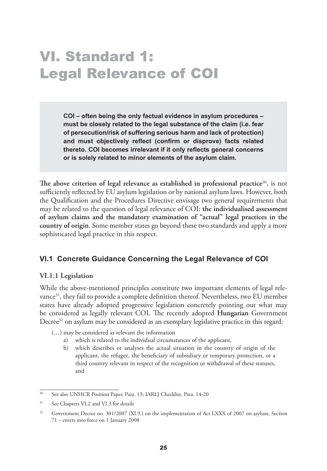### VI. Standard 1: Legal Relevance of COI

**COI – often being the only factual evidence in asylum procedures – must be closely related to the legal substance of the claim (i.e. fear of persecution/risk of suffering serious harm and lack of protection) and must objectively reflect (confirm or disprove) facts related thereto. COI becomes irrelevant if it only reflects general concerns or is solely related to minor elements of the asylum claim.**

**The above criterion of legal relevance as established in professional practice**30, is not sufficiently reflected by EU asylum legislation or by national asylum laws. However, both the Qualification and the Procedures Directive envisage two general requirements that may be related to the question of legal relevance of COI: **the individualised assessment of asylum claims and the mandatory examination of "actual" legal practices in the country of origin**. Some member states go beyond these two standards and apply a more sophisticated legal practice in this respect.

#### **VI.1 Concrete Guidance Concerning the Legal Relevance of COI**

#### **VI.1.1 Legislation**

While the above-mentioned principles constitute two important elements of legal relevance<sup>31</sup>, they fail to provide a complete definition thereof. Nevertheless, two EU member states have already adopted progressive legislation concretely pointing out what may be considered as legally relevant COI. The recently adopted **Hungarian** Government Decree<sup>32</sup> on asylum may be considered as an exemplary legislative practice in this regard:

(…) may be considered as relevant the information

- a) which is related to the individual circumstances of the applicant,
- b) which describes or analyses the actual situation in the country of origin of the applicant, the refugee, the beneficiary of subsidiary or temporary protection, or a third country relevant in respect of the recognition or withdrawal of these statuses, and

<sup>&</sup>lt;sup>30</sup> See also UNHCR Position Paper, Para. 13; IARLJ Checklist, Para. 14-20

<sup>&</sup>lt;sup>31</sup> See Chapters VI.2 and VI.3 for details

<sup>&</sup>lt;sup>32</sup> Government Decree no. 301/2007 (XI.9.) on the implementation of Act LXXX of 2007 on asylum, Section 71 – enters into force on 1 January 2008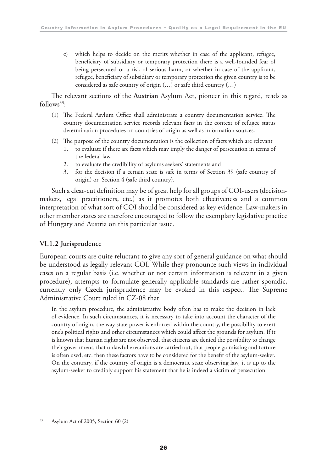c) which helps to decide on the merits whether in case of the applicant, refugee, beneficiary of subsidiary or temporary protection there is a well-founded fear of being persecuted or a risk of serious harm, or whether in case of the applicant, refugee, beneficiary of subsidiary or temporary protection the given country is to be considered as safe country of origin (…) or safe third country (…)

The relevant sections of the **Austrian** Asylum Act, pioneer in this regard, reads as  $follows<sup>33</sup>$ :

- (1) The Federal Asylum Office shall administrate a country documentation service. The country documentation service records relevant facts in the context of refugee status determination procedures on countries of origin as well as information sources.
- (2) The purpose of the country documentation is the collection of facts which are relevant
	- 1. to evaluate if there are facts which may imply the danger of persecution in terms of the federal law.
	- 2. to evaluate the credibility of asylums seekers' statements and
	- 3. for the decision if a certain state is safe in terms of Section 39 (safe country of origin) or Section 4 (safe third country).

Such a clear-cut definition may be of great help for all groups of COI-users (decisionmakers, legal practitioners, etc.) as it promotes both effectiveness and a common interpretation of what sort of COI should be considered as key evidence. Law-makers in other member states are therefore encouraged to follow the exemplary legislative practice of Hungary and Austria on this particular issue.

#### **VI.1.2 Jurisprudence**

European courts are quite reluctant to give any sort of general guidance on what should be understood as legally relevant COI. While they pronounce such views in individual cases on a regular basis (i.e. whether or not certain information is relevant in a given procedure), attempts to formulate generally applicable standards are rather sporadic, currently only **Czech** jurisprudence may be evoked in this respect. The Supreme Administrative Court ruled in CZ-08 that

 In the asylum procedure, the administrative body often has to make the decision in lack of evidence. In such circumstances, it is necessary to take into account the character of the country of origin, the way state power is enforced within the country, the possibility to exert one's political rights and other circumstances which could affect the grounds for asylum. If it is known that human rights are not observed, that citizens are denied the possibility to change their government, that unlawful executions are carried out, that people go missing and torture is often used, etc. then these factors have to be considered for the benefit of the asylum-seeker. On the contrary, if the country of origin is a democratic state observing law, it is up to the asylum-seeker to credibly support his statement that he is indeed a victim of persecution.

<sup>33</sup> Asylum Act of 2005, Section 60 (2)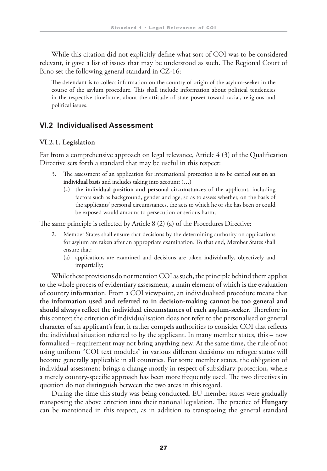While this citation did not explicitly define what sort of COI was to be considered relevant, it gave a list of issues that may be understood as such. The Regional Court of Brno set the following general standard in CZ-16:

 The defendant is to collect information on the country of origin of the asylum-seeker in the course of the asylum procedure. This shall include information about political tendencies in the respective timeframe, about the attitude of state power toward racial, religious and political issues.

#### **VI.2 Individualised Assessment**

#### **VI.2.1. Legislation**

Far from a comprehensive approach on legal relevance, Article 4 (3) of the Qualification Directive sets forth a standard that may be useful in this respect:

- 3. The assessment of an application for international protection is to be carried out **on an individual basis** and includes taking into account: (…)
	- **(c) the individual position and personal circumstances** of the applicant, including factors such as background, gender and age, so as to assess whether, on the basis of the applicants' personal circumstances, the acts to which he or she has been or could be exposed would amount to persecution or serious harm;

The same principle is reflected by Article 8 (2) (a) of the Procedures Directive:

- 2. Member States shall ensure that decisions by the determining authority on applications for asylum are taken after an appropriate examination. To that end, Member States shall ensure that:
	- (a) applications are examined and decisions are taken **individually**, objectively and impartially;

While these provisions do not mention COI as such, the principle behind them applies to the whole process of evidentiary assessment, a main element of which is the evaluation of country information. From a COI viewpoint, an individualised procedure means that **the information used and referred to in decision-making cannot be too general and should always reflect the individual circumstances of each asylum-seeker**. Therefore in this context the criterion of individualisation does not refer to the personalised or general character of an applicant's fear, it rather compels authorities to consider COI that reflects the individual situation referred to by the applicant. In many member states, this – now formalised – requirement may not bring anything new. At the same time, the rule of not using uniform "COI text modules" in various different decisions on refugee status will become generally applicable in all countries. For some member states, the obligation of individual assessment brings a change mostly in respect of subsidiary protection, where a merely country-specific approach has been more frequently used. The two directives in question do not distinguish between the two areas in this regard.

During the time this study was being conducted, EU member states were gradually transposing the above criterion into their national legislation. The practice of **Hungary** can be mentioned in this respect, as in addition to transposing the general standard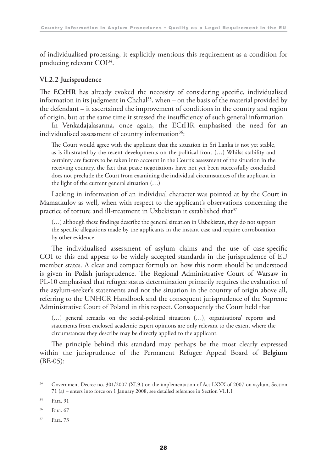of individualised processing, it explicitly mentions this requirement as a condition for producing relevant COI34.

#### **VI.2.2 Jurisprudence**

The **ECtHR** has already evoked the necessity of considering specific, individualised information in its judgment in Chahal<sup>35</sup>, when – on the basis of the material provided by the defendant – it ascertained the improvement of conditions in the country and region of origin, but at the same time it stressed the insufficiency of such general information.

In Venkadajalasarma, once again, the ECtHR emphasised the need for an individualised assessment of country information<sup>36</sup>:

 The Court would agree with the applicant that the situation in Sri Lanka is not yet stable, as is illustrated by the recent developments on the political front (…) Whilst stability and certainty are factors to be taken into account in the Court's assessment of the situation in the receiving country, the fact that peace negotiations have not yet been successfully concluded does not preclude the Court from examining the individual circumstances of the applicant in the light of the current general situation (…)

Lacking in information of an individual character was pointed at by the Court in Mamatkulov as well, when with respect to the applicant's observations concerning the practice of torture and ill-treatment in Uzbekistan it established that  $37$ 

 (…) although these findings describe the general situation in Uzbekistan, they do not support the specific allegations made by the applicants in the instant case and require corroboration by other evidence.

The individualised assessment of asylum claims and the use of case-specific COI to this end appear to be widely accepted standards in the jurisprudence of EU member states. A clear and compact formula on how this norm should be understood is given in **Polish** jurisprudence. The Regional Administrative Court of Warsaw in PL-10 emphasised that refugee status determination primarily requires the evaluation of the asylum-seeker's statements and not the situation in the country of origin above all, referring to the UNHCR Handbook and the consequent jurisprudence of the Supreme Administrative Court of Poland in this respect. Consequently the Court held that

 (…) general remarks on the social-political situation (…), organisations' reports and statements from enclosed academic expert opinions are only relevant to the extent where the circumstances they describe may be directly applied to the applicant.

The principle behind this standard may perhaps be the most clearly expressed within the jurisprudence of the Permanent Refugee Appeal Board of **Belgium** (BE-05):

<sup>&</sup>lt;sup>34</sup> Government Decree no. 301/2007 (XI.9.) on the implementation of Act LXXX of 2007 on asylum, Section 71 (a) – enters into force on 1 January 2008, see detailed reference in Section VI.1.1

<sup>35</sup> Para. 91

<sup>36</sup> Para. 67

<sup>37</sup> Para. 73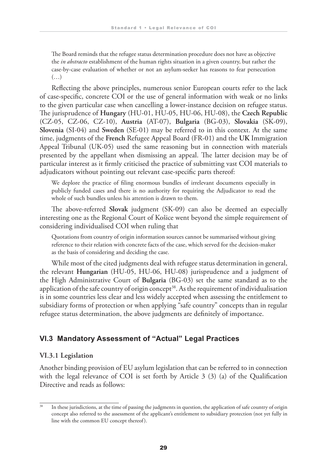The Board reminds that the refugee status determination procedure does not have as objective the *in abstracto* establishment of the human rights situation in a given country, but rather the case-by-case evaluation of whether or not an asylum-seeker has reasons to fear persecution  $(\ldots)$ 

Reflecting the above principles, numerous senior European courts refer to the lack of case-specific, concrete COI or the use of general information with weak or no links to the given particular case when cancelling a lower-instance decision on refugee status. The jurisprudence of **Hungary** (HU-01, HU-05, HU-06, HU-08), the **Czech Republic** (CZ-05, CZ-06, CZ-10), **Austria** (AT-07), **Bulgaria** (BG-03), **Slovakia** (SK-09), **Slovenia** (SI-04) and **Sweden** (SE-01) may be referred to in this context. At the same time, judgments of the **French** Refugee Appeal Board (FR-01) and the **UK** Immigration Appeal Tribunal (UK-05) used the same reasoning but in connection with materials presented by the appellant when dismissing an appeal. The latter decision may be of particular interest as it firmly criticised the practice of submitting vast COI materials to adjudicators without pointing out relevant case-specific parts thereof:

 We deplore the practice of filing enormous bundles of irrelevant documents especially in publicly funded cases and there is no authority for requiring the Adjudicator to read the whole of such bundles unless his attention is drawn to them.

The above-referred **Slovak** judgment (SK-09) can also be deemed an especially interesting one as the Regional Court of Košice went beyond the simple requirement of considering individualised COI when ruling that

 Quotations from country of origin information sources cannot be summarised without giving reference to their relation with concrete facts of the case, which served for the decision-maker as the basis of considering and deciding the case.

While most of the cited judgments deal with refugee status determination in general, the relevant **Hungarian** (HU-05, HU-06, HU-08) jurisprudence and a judgment of the High Administrative Court of **Bulgaria** (BG-03) set the same standard as to the application of the safe country of origin concept<sup>38</sup>. As the requirement of individualisation is in some countries less clear and less widely accepted when assessing the entitlement to subsidiary forms of protection or when applying "safe country" concepts than in regular refugee status determination, the above judgments are definitely of importance.

#### **VI.3 Mandatory Assessment of "Actual" Legal Practices**

#### **VI.3.1 Legislation**

Another binding provision of EU asylum legislation that can be referred to in connection with the legal relevance of COI is set forth by Article 3 (3) (a) of the Qualification Directive and reads as follows:

<sup>&</sup>lt;sup>38</sup> In these jurisdictions, at the time of passing the judgments in question, the application of safe country of origin concept also referred to the assessment of the applicant's entitlement to subsidiary protection (not yet fully in line with the common EU concept thereof).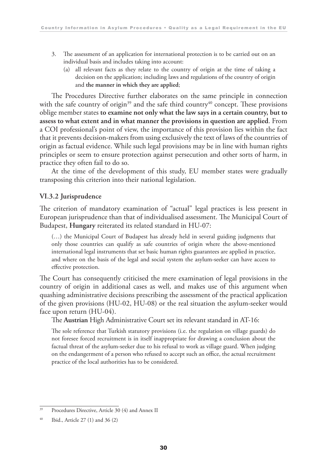- 3. The assessment of an application for international protection is to be carried out on an individual basis and includes taking into account:
	- (a) all relevant facts as they relate to the country of origin at the time of taking a decision on the application; including laws and regulations of the country of origin and **the manner in which they are applied**;

The Procedures Directive further elaborates on the same principle in connection with the safe country of origin<sup>39</sup> and the safe third country<sup>40</sup> concept. These provisions oblige member states **to examine not only what the law says in a certain country, but to assess to what extent and in what manner the provisions in question are applied**. From a COI professional's point of view, the importance of this provision lies within the fact that it prevents decision-makers from using exclusively the text of laws of the countries of origin as factual evidence. While such legal provisions may be in line with human rights principles or seem to ensure protection against persecution and other sorts of harm, in practice they often fail to do so.

At the time of the development of this study, EU member states were gradually transposing this criterion into their national legislation.

#### **VI.3.2 Jurisprudence**

The criterion of mandatory examination of "actual" legal practices is less present in European jurisprudence than that of individualised assessment. The Municipal Court of Budapest, **Hungary** reiterated its related standard in HU-07:

 (…) the Municipal Court of Budapest has already held in several guiding judgments that only those countries can qualify as safe countries of origin where the above-mentioned international legal instruments that set basic human rights guarantees are applied in practice, and where on the basis of the legal and social system the asylum-seeker can have access to effective protection.

The Court has consequently criticised the mere examination of legal provisions in the country of origin in additional cases as well, and makes use of this argument when quashing administrative decisions prescribing the assessment of the practical application of the given provisions (HU-02, HU-08) or the real situation the asylum-seeker would face upon return (HU-04).

The **Austrian** High Administrative Court set its relevant standard in AT-16:

 The sole reference that Turkish statutory provisions (i.e. the regulation on village guards) do not foresee forced recruitment is in itself inappropriate for drawing a conclusion about the factual threat of the asylum-seeker due to his refusal to work as village guard. When judging on the endangerment of a person who refused to accept such an office, the actual recruitment practice of the local authorities has to be considered.

<sup>39</sup> Procedures Directive, Article 30 (4) and Annex II

<sup>40</sup> Ibid., Article 27 (1) and 36 (2)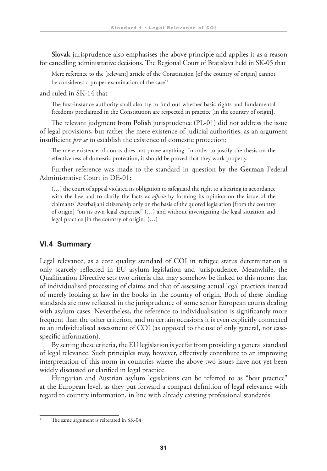**Slovak** jurisprudence also emphasises the above principle and applies it as a reason for cancelling administrative decisions. The Regional Court of Bratislava held in SK-05 that

 Mere reference to the [relevant] article of the Constitution [of the country of origin] cannot be considered a proper examination of the case<sup>41</sup>

and ruled in SK-14 that

 The first-instance authority shall also try to find out whether basic rights and fundamental freedoms proclaimed in the Constitution are respected in practice [in the country of origin].

The relevant judgment from **Polish** jurisprudence (PL-01) did not address the issue of legal provisions, but rather the mere existence of judicial authorities, as an argument insufficient *per se* to establish the existence of domestic protection:

 The mere existence of courts does not prove anything. In order to justify the thesis on the effectiveness of domestic protection, it should be proved that they work properly.

Further reference was made to the standard in question by the **German** Federal Administrative Court in DE-01:

 (…) the court of appeal violated its obligation to safeguard the right to a hearing in accordance with the law and to clarify the facts *ex officio* by forming its opinion on the issue of the claimants' Azerbaijani citizenship only on the basis of the quoted legislation [from the country of origin] "on its own legal expertise" (…) and without investigating the legal situation and legal practice [in the country of origin] (…)

#### **VI.4 Summary**

Legal relevance, as a core quality standard of COI in refugee status determination is only scarcely reflected in EU asylum legislation and jurisprudence. Meanwhile, the Qualification Directive sets two criteria that may somehow be linked to this norm: that of individualised processing of claims and that of assessing actual legal practices instead of merely looking at law in the books in the country of origin. Both of these binding standards are now reflected in the jurisprudence of some senior European courts dealing with asylum cases. Nevertheless, the reference to individualisation is significantly more frequent than the other criterion, and on certain occasions it is even explicitly connected to an individualised assessment of COI (as opposed to the use of only general, not casespecific information).

By setting these criteria, the EU legislation is yet far from providing a general standard of legal relevance. Such principles may, however, effectively contribute to an improving interpretation of this norm in countries where the above two issues have not yet been widely discussed or clarified in legal practice.

Hungarian and Austrian asylum legislations can be referred to as "best practice" at the European level, as they put forward a compact definition of legal relevance with regard to country information, in line with already existing professional standards.

<sup>&</sup>lt;sup>41</sup> The same argument is reiterated in SK-04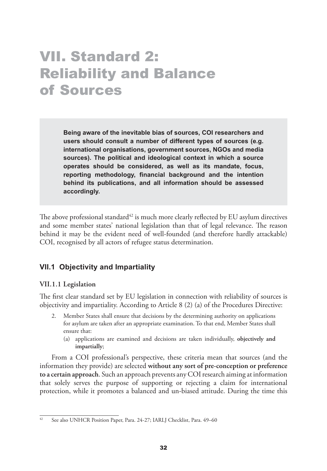### VII. Standard 2: Reliability and Balance of Sources

**Being aware of the inevitable bias of sources, COI researchers and users should consult a number of different types of sources (e.g. international organisations, government sources, NGOs and media sources). The political and ideological context in which a source operates should be considered, as well as its mandate, focus, reporting methodology, financial background and the intention behind its publications, and all information should be assessed accordingly.**

The above professional standard<sup>42</sup> is much more clearly reflected by EU asylum directives and some member states' national legislation than that of legal relevance. The reason behind it may be the evident need of well-founded (and therefore hardly attackable) COI, recognised by all actors of refugee status determination.

#### **VII.1 Objectivity and Impartiality**

#### **VII.1.1 Legislation**

The first clear standard set by EU legislation in connection with reliability of sources is objectivity and impartiality. According to Article 8 (2) (a) of the Procedures Directive:

- 2. Member States shall ensure that decisions by the determining authority on applications for asylum are taken after an appropriate examination. To that end, Member States shall ensure that:
	- (a) applications are examined and decisions are taken individually, **objectively and impartially**;

From a COI professional's perspective, these criteria mean that sources (and the information they provide) are selected **without any sort of pre-conception or preference to a certain approach**. Such an approach prevents any COI research aiming at information that solely serves the purpose of supporting or rejecting a claim for international protection, while it promotes a balanced and un-biased attitude. During the time this

<sup>&</sup>lt;sup>42</sup> See also UNHCR Position Paper, Para. 24-27; IARLJ Checklist, Para. 49–60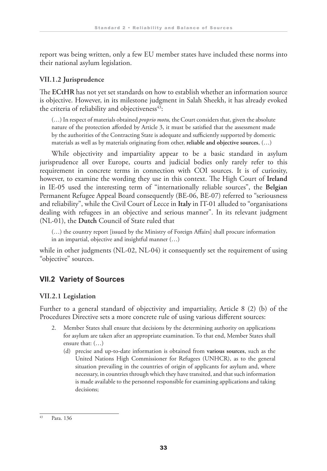report was being written, only a few EU member states have included these norms into their national asylum legislation.

#### **VII.1.2 Jurisprudence**

The **ECtHR** has not yet set standards on how to establish whether an information source is objective. However, in its milestone judgment in Salah Sheekh, it has already evoked the criteria of reliability and objectiveness $43$ :

 (…) In respect of materials obtained *proprio motu,* the Court considers that, given the absolute nature of the protection afforded by Article 3, it must be satisfied that the assessment made by the authorities of the Contracting State is adequate and sufficiently supported by domestic materials as well as by materials originating from other, **reliable and objective sources**, (…)

While objectivity and impartiality appear to be a basic standard in asylum jurisprudence all over Europe, courts and judicial bodies only rarely refer to this requirement in concrete terms in connection with COI sources. It is of curiosity, however, to examine the wording they use in this context. The High Court of **Ireland** in IE-05 used the interesting term of "internationally reliable sources", the **Belgian** Permanent Refugee Appeal Board consequently (BE-06, BE-07) referred to "seriousness and reliability", while the Civil Court of Lecce in **Italy** in IT-01 alluded to "organisations dealing with refugees in an objective and serious manner". In its relevant judgment (NL-01), the **Dutch** Council of State ruled that

 (…) the country report [issued by the Ministry of Foreign Affairs] shall procure information in an impartial, objective and insightful manner (…)

while in other judgments (NL-02, NL-04) it consequently set the requirement of using "objective" sources.

#### **VII.2 Variety of Sources**

#### **VII.2.1 Legislation**

Further to a general standard of objectivity and impartiality, Article 8 (2) (b) of the Procedures Directive sets a more concrete rule of using various different sources:

- Member States shall ensure that decisions by the determining authority on applications for asylum are taken after an appropriate examination. To that end, Member States shall ensure that: (…)
	- (d) precise and up-to-date information is obtained from **various sources**, such as the United Nations High Commissioner for Refugees (UNHCR), as to the general situation prevailing in the countries of origin of applicants for asylum and, where necessary, in countries through which they have transited, and that such information is made available to the personnel responsible for examining applications and taking decisions;

<sup>43</sup> Para. 136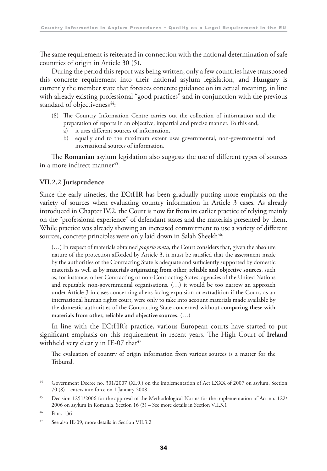The same requirement is reiterated in connection with the national determination of safe countries of origin in Article 30 (5).

During the period this report was being written, only a few countries have transposed this concrete requirement into their national asylum legislation, and **Hungary** is currently the member state that foresees concrete guidance on its actual meaning, in line with already existing professional "good practices" and in conjunction with the previous standard of objectiveness<sup>44</sup>:

- (8) The Country Information Centre carries out the collection of information and the preparation of reports in an objective, impartial and precise manner. To this end,
	- a) it uses different sources of information,
	- b) equally and to the maximum extent uses governmental, non-governmental and international sources of information.

The **Romanian** asylum legislation also suggests the use of different types of sources in a more indirect manner<sup>45</sup>.

#### **VII.2.2 Jurisprudence**

Since the early nineties, the **ECtHR** has been gradually putting more emphasis on the variety of sources when evaluating country information in Article 3 cases. As already introduced in Chapter IV.2, the Court is now far from its earlier practice of relying mainly on the "professional experience" of defendant states and the materials presented by them. While practice was already showing an increased commitment to use a variety of different sources, concrete principles were only laid down in Salah Sheekh<sup>46</sup>:

 (…) In respect of materials obtained *proprio motu,* the Court considers that, given the absolute nature of the protection afforded by Article 3, it must be satisfied that the assessment made by the authorities of the Contracting State is adequate and sufficiently supported by domestic materials as well as by **materials originating from other, reliable and objective sources**, such as, for instance, other Contracting or non-Contracting States, agencies of the United Nations and reputable non-governmental organisations. (…) it would be too narrow an approach under Article 3 in cases concerning aliens facing expulsion or extradition if the Court, as an international human rights court, were only to take into account materials made available by the domestic authorities of the Contracting State concerned without **comparing these with materials from other, reliable and objective sources**. (…)

In line with the ECtHR's practice, various European courts have started to put significant emphasis on this requirement in recent years. The High Court of **Ireland** withheld very clearly in IE-07 that<sup>47</sup>

 The evaluation of country of origin information from various sources is a matter for the Tribunal.

<sup>44</sup> Government Decree no. 301/2007 (XI.9.) on the implementation of Act LXXX of 2007 on asylum, Section 70 (8) – enters into force on 1 January 2008

<sup>&</sup>lt;sup>45</sup> Decision 1251/2006 for the approval of the Methodological Norms for the implementation of Act no. 122/ 2006 on asylum in Romania, Section 16 (3) – See more details in Section VII.3.1

<sup>46</sup> Para. 136

<sup>47</sup> See also IE-09, more details in Section VII.3.2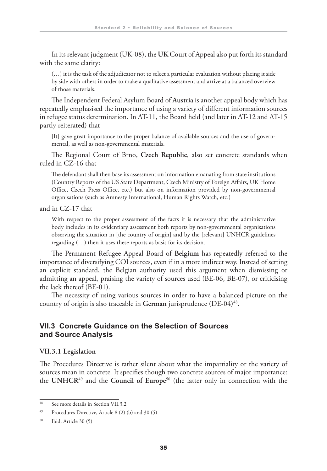In its relevant judgment (UK-08), the **UK** Court of Appeal also put forth its standard with the same clarity:

 (…) it is the task of the adjudicator not to select a particular evaluation without placing it side by side with others in order to make a qualitative assessment and arrive at a balanced overview of those materials.

The Independent Federal Asylum Board of **Austria** is another appeal body which has repeatedly emphasised the importance of using a variety of different information sources in refugee status determination. In AT-11, the Board held (and later in AT-12 and AT-15 partly reiterated) that

 [It] gave great importance to the proper balance of available sources and the use of governmental, as well as non-governmental materials.

The Regional Court of Brno, **Czech Republic**, also set concrete standards when ruled in CZ-16 that

 The defendant shall then base its assessment on information emanating from state institutions (Country Reports of the US State Department, Czech Ministry of Foreign Affairs, UK Home Office, Czech Press Office, etc.) but also on information provided by non-governmental organisations (such as Amnesty International, Human Rights Watch, etc.)

and in CZ-17 that

 With respect to the proper assessment of the facts it is necessary that the administrative body includes in its evidentiary assessment both reports by non-governmental organisations observing the situation in [the country of origin] and by the [relevant] UNHCR guidelines regarding (…) then it uses these reports as basis for its decision.

The Permanent Refugee Appeal Board of **Belgium** has repeatedly referred to the importance of diversifying COI sources, even if in a more indirect way. Instead of setting an explicit standard, the Belgian authority used this argument when dismissing or admitting an appeal, praising the variety of sources used (BE-06, BE-07), or criticising the lack thereof (BE-01).

The necessity of using various sources in order to have a balanced picture on the country of origin is also traceable in German jurisprudence (DE-04)<sup>48</sup>.

#### **VII.3 Concrete Guidance on the Selection of Sources and Source Analysis**

#### **VII.3.1 Legislation**

The Procedures Directive is rather silent about what the impartiality or the variety of sources mean in concrete. It specifies though two concrete sources of major importance: the **UNHCR**49 and the **Council of Europe**50 (the latter only in connection with the

<sup>48</sup> See more details in Section VII.3.2

<sup>49</sup> Procedures Directive, Article 8 (2) (b) and 30 (5)

<sup>50</sup> Ibid. Article 30 (5)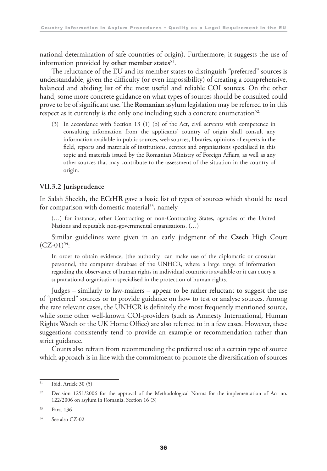national determination of safe countries of origin). Furthermore, it suggests the use of information provided by other member states<sup>51</sup>.

The reluctance of the EU and its member states to distinguish "preferred" sources is understandable, given the difficulty (or even impossibility) of creating a comprehensive, balanced and abiding list of the most useful and reliable COI sources. On the other hand, some more concrete guidance on what types of sources should be consulted could prove to be of significant use. The **Romanian** asylum legislation may be referred to in this respect as it currently is the only one including such a concrete enumeration<sup>52</sup>:

 (3) In accordance with Section 13 (1) (b) of the Act, civil servants with competence in consulting information from the applicants' country of origin shall consult any information available in public sources, web sources, libraries, opinions of experts in the field, reports and materials of institutions, centres and organisations specialised in this topic and materials issued by the Romanian Ministry of Foreign Affairs, as well as any other sources that may contribute to the assessment of the situation in the country of origin.

#### **VII.3.2 Jurisprudence**

In Salah Sheekh, the **ECtHR** gave a basic list of types of sources which should be used for comparison with domestic material<sup>53</sup>, namely

 (…) for instance, other Contracting or non-Contracting States, agencies of the United Nations and reputable non-governmental organisations. (…)

Similar guidelines were given in an early judgment of the **Czech** High Court  $(CZ-01)$ <sup>54</sup>:

 In order to obtain evidence, [the authority] can make use of the diplomatic or consular personnel, the computer database of the UNHCR, where a large range of information regarding the observance of human rights in individual countries is available or it can query a supranational organisation specialised in the protection of human rights.

Judges – similarly to law-makers – appear to be rather reluctant to suggest the use of "preferred" sources or to provide guidance on how to test or analyse sources. Among the rare relevant cases, the UNHCR is definitely the most frequently mentioned source, while some other well-known COI-providers (such as Amnesty International, Human Rights Watch or the UK Home Office) are also referred to in a few cases. However, these suggestions consistently tend to provide an example or recommendation rather than strict guidance.

Courts also refrain from recommending the preferred use of a certain type of source which approach is in line with the commitment to promote the diversification of sources

 $51$  Ibid. Article 30 (5)

<sup>&</sup>lt;sup>52</sup> Decision 1251/2006 for the approval of the Methodological Norms for the implementation of Act no. 122/2006 on asylum in Romania, Section 16 (3)

<sup>53</sup> Para. 136

<sup>54</sup> See also CZ-02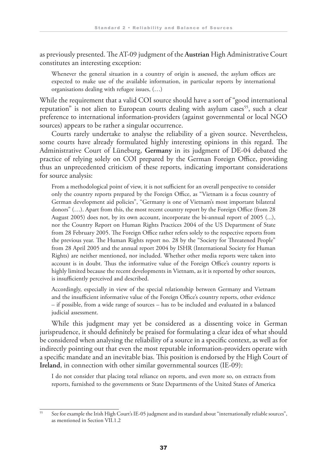as previously presented. The AT-09 judgment of the **Austrian** High Administrative Court constitutes an interesting exception:

 Whenever the general situation in a country of origin is assessed, the asylum offices are expected to make use of the available information, in particular reports by international organisations dealing with refugee issues, (…)

While the requirement that a valid COI source should have a sort of "good international reputation" is not alien to European courts dealing with asylum cases<sup>55</sup>, such a clear preference to international information-providers (against governmental or local NGO sources) appears to be rather a singular occurrence.

Courts rarely undertake to analyse the reliability of a given source. Nevertheless, some courts have already formulated highly interesting opinions in this regard. The Administrative Court of Lüneburg, **Germany** in its judgment of DE-04 debated the practice of relying solely on COI prepared by the German Foreign Office, providing thus an unprecedented criticism of these reports, indicating important considerations for source analysis:

 From a methodological point of view, it is not sufficient for an overall perspective to consider only the country reports prepared by the Foreign Office, as "Vietnam is a focus country of German development aid policies", "Germany is one of Vietnam's most important bilateral donors" (…). Apart from this, the most recent country report by the Foreign Office (from 28 August 2005) does not, by its own account, incorporate the bi-annual report of 2005 (...), nor the Country Report on Human Rights Practices 2004 of the US Department of State from 28 February 2005. The Foreign Office rather refers solely to the respective reports from the previous year. The Human Rights report no. 28 by the "Society for Threatened People" from 28 April 2005 and the annual report 2004 by ISHR (International Society for Human Rights) are neither mentioned, nor included. Whether other media reports were taken into account is in doubt. Thus the informative value of the Foreign Office's country reports is highly limited because the recent developments in Vietnam, as it is reported by other sources, is insufficiently perceived and described.

 Accordingly, especially in view of the special relationship between Germany and Vietnam and the insufficient informative value of the Foreign Office's country reports, other evidence – if possible, from a wide range of sources – has to be included and evaluated in a balanced judicial assessment.

While this judgment may yet be considered as a dissenting voice in German jurisprudence, it should definitely be praised for formulating a clear idea of what should be considered when analysing the reliability of a source in a specific context, as well as for indirectly pointing out that even the most reputable information-providers operate with a specific mandate and an inevitable bias. This position is endorsed by the High Court of **Ireland**, in connection with other similar governmental sources (IE-09):

 I do not consider that placing total reliance on reports, and even more so, on extracts from reports, furnished to the governments or State Departments of the United States of America

<sup>&</sup>lt;sup>55</sup> See for example the Irish High Court's IE-05 judgment and its standard about "internationally reliable sources", as mentioned in Section VII.1.2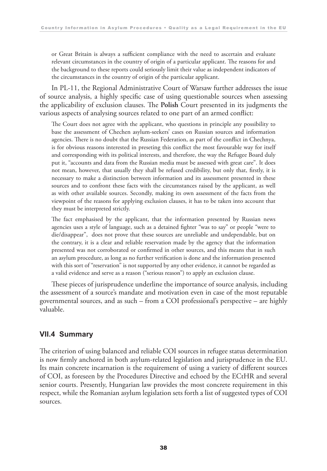or Great Britain is always a sufficient compliance with the need to ascertain and evaluate relevant circumstances in the country of origin of a particular applicant. The reasons for and the background to these reports could seriously limit their value as independent indicators of the circumstances in the country of origin of the particular applicant.

In PL-11, the Regional Administrative Court of Warsaw further addresses the issue of source analysis, a highly specific case of using questionable sources when assessing the applicability of exclusion clauses. The **Polish** Court presented in its judgments the various aspects of analysing sources related to one part of an armed conflict:

 The Court does not agree with the applicant, who questions in principle any possibility to base the assessment of Chechen asylum-seekers' cases on Russian sources and information agencies. There is no doubt that the Russian Federation, as part of the conflict in Chechnya, is for obvious reasons interested in preseting this conflict the most favourable way for itself and corresponding with its political interests, and therefore, the way the Refugee Board duly put it, "accounts and data from the Russian media must be assessed with great care". It does not mean, however, that usually they shall be refused credibility, but only that, firstly, it is necessary to make a distinction between information and its assessment presented in these sources and to confront these facts with the circumstances raised by the applicant, as well as with other available sources. Secondly, making its own assessment of the facts from the viewpoint of the reasons for applying exclusion clauses, it has to be taken into account that they must be interpreted strictly.

 The fact emphasised by the applicant, that the information presented by Russian news agencies uses a style of language, such as a detained fighter "was to say" or people "were to die/disappear", does not prove that these sources are unreliable and undependable, but on the contrary, it is a clear and reliable reservation made by the agency that the information presented was not corroborated or confirmed in other sources, and this means that in such an asylum procedure, as long as no further verification is done and the information presented with this sort of "reservation" is not supported by any other evidence, it cannot be regarded as a valid evidence and serve as a reason ("serious reason") to apply an exclusion clause.

These pieces of jurisprudence underline the importance of source analysis, including the assessment of a source's mandate and motivation even in case of the most reputable governmental sources, and as such – from a COI professional's perspective – are highly valuable.

#### **VII.4 Summary**

The criterion of using balanced and reliable COI sources in refugee status determination is now firmly anchored in both asylum-related legislation and jurisprudence in the EU. Its main concrete incarnation is the requirement of using a variety of different sources of COI, as foreseen by the Procedures Directive and echoed by the ECtHR and several senior courts. Presently, Hungarian law provides the most concrete requirement in this respect, while the Romanian asylum legislation sets forth a list of suggested types of COI sources.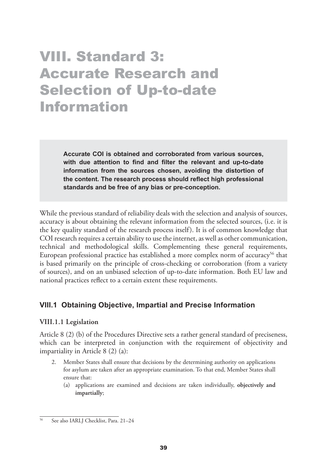### VIII. Standard 3: Accurate Research and Selection of Up-to-date Information

**Accurate COI is obtained and corroborated from various sources, with due attention to find and filter the relevant and up-to-date information from the sources chosen, avoiding the distortion of the content. The research process should reflect high professional standards and be free of any bias or pre-conception.** 

While the previous standard of reliability deals with the selection and analysis of sources, accuracy is about obtaining the relevant information from the selected sources, (i.e. it is the key quality standard of the research process itself). It is of common knowledge that COI research requires a certain ability to use the internet, as well as other communication, technical and methodological skills. Complementing these general requirements, European professional practice has established a more complex norm of accuracy<sup>56</sup> that is based primarily on the principle of cross-checking or corroboration (from a variety of sources), and on an unbiased selection of up-to-date information. Both EU law and national practices reflect to a certain extent these requirements.

#### **VIII.1 Obtaining Objective, Impartial and Precise Information**

#### **VIII.1.1 Legislation**

Article 8 (2) (b) of the Procedures Directive sets a rather general standard of preciseness, which can be interpreted in conjunction with the requirement of objectivity and impartiality in Article 8 (2) (a):

- 2. Member States shall ensure that decisions by the determining authority on applications for asylum are taken after an appropriate examination. To that end, Member States shall ensure that:
	- (a) applications are examined and decisions are taken individually, **objectively and impartially**;

<sup>56</sup> See also IARLJ Checklist, Para. 21–24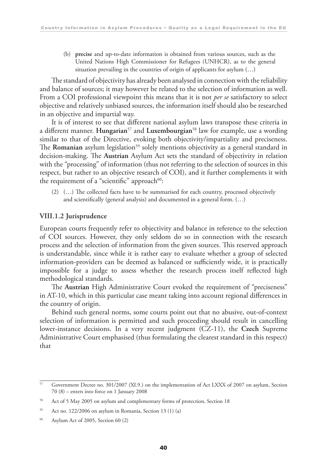(b) **precise** and up-to-date information is obtained from various sources, such as the United Nations High Commissioner for Refugees (UNHCR), as to the general situation prevailing in the countries of origin of applicants for asylum (…)

The standard of objectivity has already been analysed in connection with the reliability and balance of sources; it may however be related to the selection of information as well. From a COI professional viewpoint this means that it is not *per se* satisfactory to select objective and relatively unbiased sources, the information itself should also be researched in an objective and impartial way.

It is of interest to see that different national asylum laws transpose these criteria in a different manner. **Hungarian**57 and **Luxembourgian**58 law for example, use a wording similar to that of the Directive, evoking both objectivity/impartiality and preciseness. The **Romanian** asylum legislation<sup>59</sup> solely mentions objectivity as a general standard in decision-making. The **Austrian** Asylum Act sets the standard of objectivity in relation with the "processing" of information (thus not referring to the selection of sources in this respect, but rather to an objective research of COI), and it further complements it with the requirement of a "scientific" approach $60$ :

 (2) (…) The collected facts have to be summarised for each country, processed objectively and scientifically (general analysis) and documented in a general form. (…)

#### **VIII.1.2 Jurisprudence**

European courts frequently refer to objectivity and balance in reference to the selection of COI sources. However, they only seldom do so in connection with the research process and the selection of information from the given sources. This reserved approach is understandable, since while it is rather easy to evaluate whether a group of selected information-providers can be deemed as balanced or sufficiently wide, it is practically impossible for a judge to assess whether the research process itself reflected high methodological standards.

The **Austrian** High Administrative Court evoked the requirement of "preciseness" in AT-10, which in this particular case meant taking into account regional differences in the country of origin.

Behind such general norms, some courts point out that no abusive, out-of-context selection of information is permitted and such proceeding should result in cancelling lower-instance decisions. In a very recent judgment (CZ-11), the **Czech** Supreme Administrative Court emphasised (thus formulating the clearest standard in this respect) that

<sup>57</sup> Government Decree no. 301/2007 (XI.9.) on the implementation of Act LXXX of 2007 on asylum, Section 70 (8) – enters into force on 1 January 2008

<sup>&</sup>lt;sup>58</sup> Act of 5 May 2005 on asylum and complementary forms of protection, Section 18

<sup>59</sup> Act no. 122/2006 on asylum in Romania, Section 13 (1) (a)

 $60$  Asylum Act of 2005, Section 60 (2)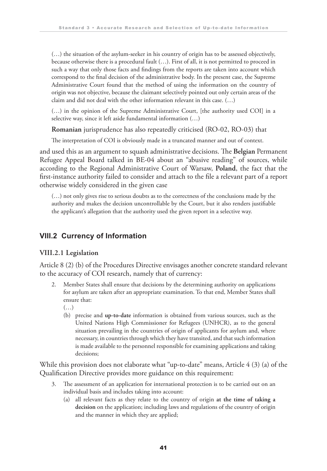(…) the situation of the asylum-seeker in his country of origin has to be assessed objectively, because otherwise there is a procedural fault (…). First of all, it is not permitted to proceed in such a way that only those facts and findings from the reports are taken into account which correspond to the final decision of the administrative body. In the present case, the Supreme Administrative Court found that the method of using the information on the country of origin was not objective, because the claimant selectively pointed out only certain areas of the claim and did not deal with the other information relevant in this case. (…)

 (…) in the opinion of the Supreme Administrative Court, [the authority used COI] in a selective way, since it left aside fundamental information (…)

**Romanian** jurisprudence has also repeatedly criticised (RO-02, RO-03) that

The interpretation of COI is obviously made in a truncated manner and out of context.

and used this as an argument to squash administrative decisions. The **Belgian** Permanent Refugee Appeal Board talked in BE-04 about an "abusive reading" of sources, while according to the Regional Administrative Court of Warsaw, **Poland**, the fact that the first-instance authority failed to consider and attach to the file a relevant part of a report otherwise widely considered in the given case

 (…) not only gives rise to serious doubts as to the correctness of the conclusions made by the authority and makes the decision uncontrollable by the Court, but it also renders justifiable the applicant's allegation that the authority used the given report in a selective way.

#### **VIII.2 Currency of Information**

#### **VIII.2.1 Legislation**

Article 8 (2) (b) of the Procedures Directive envisages another concrete standard relevant to the accuracy of COI research, namely that of currency:

- 2. Member States shall ensure that decisions by the determining authority on applications for asylum are taken after an appropriate examination. To that end, Member States shall ensure that:
	- $(\ldots)$
	- (b) precise and **up-to-date** information is obtained from various sources, such as the United Nations High Commissioner for Refugees (UNHCR), as to the general situation prevailing in the countries of origin of applicants for asylum and, where necessary, in countries through which they have transited, and that such information is made available to the personnel responsible for examining applications and taking decisions;

While this provision does not elaborate what "up-to-date" means, Article 4 (3) (a) of the Qualification Directive provides more guidance on this requirement:

- The assessment of an application for international protection is to be carried out on an individual basis and includes taking into account:
	- (a) all relevant facts as they relate to the country of origin **at the time of taking a decision** on the application; including laws and regulations of the country of origin and the manner in which they are applied;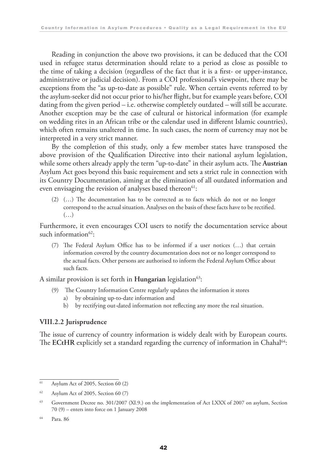Reading in conjunction the above two provisions, it can be deduced that the COI used in refugee status determination should relate to a period as close as possible to the time of taking a decision (regardless of the fact that it is a first- or upper-instance, administrative or judicial decision). From a COI professional's viewpoint, there may be exceptions from the "as up-to-date as possible" rule. When certain events referred to by the asylum-seeker did not occur prior to his/her flight, but for example years before, COI dating from the given period – i.e. otherwise completely outdated – will still be accurate. Another exception may be the case of cultural or historical information (for example on wedding rites in an African tribe or the calendar used in different Islamic countries), which often remains unaltered in time. In such cases, the norm of currency may not be interpreted in a very strict manner.

By the completion of this study, only a few member states have transposed the above provision of the Qualification Directive into their national asylum legislation, while some others already apply the term "up-to-date" in their asylum acts. The **Austrian** Asylum Act goes beyond this basic requirement and sets a strict rule in connection with its Country Documentation, aiming at the elimination of all outdated information and even envisaging the revision of analyses based thereon<sup>61</sup>:

 (2) (…) The documentation has to be corrected as to facts which do not or no longer correspond to the actual situation. Analyses on the basis of these facts have to be rectified.  $(\ldots)$ 

Furthermore, it even encourages COI users to notify the documentation service about such information $62$ :

 (7) The Federal Asylum Office has to be informed if a user notices (…) that certain information covered by the country documentation does not or no longer correspond to the actual facts. Other persons are authorised to inform the Federal Asylum Office about such facts.

A similar provision is set forth in **Hungarian** legislation<sup>63</sup>:

- (9) The Country Information Centre regularly updates the information it stores
	- a) by obtaining up-to-date information and
	- b) by rectifying out-dated information not reflecting any more the real situation.

#### **VIII.2.2 Jurisprudence**

The issue of currency of country information is widely dealt with by European courts. The ECtHR explicitly set a standard regarding the currency of information in Chahal<sup>64</sup>:

<sup>61</sup> Asylum Act of 2005, Section 60 (2)

<sup>62</sup> Asylum Act of 2005, Section 60 (7)

<sup>&</sup>lt;sup>63</sup> Government Decree no. 301/2007 (XI.9.) on the implementation of Act LXXX of 2007 on asylum, Section 70 (9) – enters into force on 1 January 2008

<sup>64</sup> Para. 86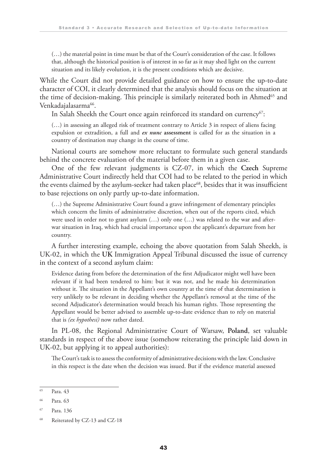(…) the material point in time must be that of the Court's consideration of the case. It follows that, although the historical position is of interest in so far as it may shed light on the current situation and its likely evolution, it is the present conditions which are decisive.

While the Court did not provide detailed guidance on how to ensure the up-to-date character of COI, it clearly determined that the analysis should focus on the situation at the time of decision-making. This principle is similarly reiterated both in Ahmed<sup>65</sup> and Venkadajalasarma<sup>66</sup>.

In Salah Sheekh the Court once again reinforced its standard on currency<sup>67</sup>:

 (…) in assessing an alleged risk of treatment contrary to Article 3 in respect of aliens facing expulsion or extradition, a full and *ex nunc* **assessment** is called for as the situation in a country of destination may change in the course of time.

National courts are somehow more reluctant to formulate such general standards behind the concrete evaluation of the material before them in a given case.

One of the few relevant judgments is CZ-07, in which the **Czech** Supreme Administrative Court indirectly held that COI had to be related to the period in which the events claimed by the asylum-seeker had taken place<sup>68</sup>, besides that it was insufficient to base rejections on only partly up-to-date information.

 (…) the Supreme Administrative Court found a grave infringement of elementary principles which concern the limits of administrative discretion, when out of the reports cited, which were used in order not to grant asylum (…) only one (…) was related to the war and afterwar situation in Iraq, which had crucial importance upon the applicant's departure from her country.

A further interesting example, echoing the above quotation from Salah Sheekh, is UK-02, in which the **UK** Immigration Appeal Tribunal discussed the issue of currency in the context of a second asylum claim:

 Evidence dating from before the determination of the first Adjudicator might well have been relevant if it had been tendered to him: but it was not, and he made his determination without it. The situation in the Appellant's own country at the time of that determination is very unlikely to be relevant in deciding whether the Appellant's removal at the time of the second Adjudicator's determination would breach his human rights. Those representing the Appellant would be better advised to assemble up-to-date evidence than to rely on material that is *(ex hypothesi)* now rather dated.

In PL-08, the Regional Administrative Court of Warsaw, **Poland**, set valuable standards in respect of the above issue (somehow reiterating the principle laid down in UK-02, but applying it to appeal authorities):

 The Court's task is to assess the conformity of administrative decisions with the law. Conclusive in this respect is the date when the decision was issued. But if the evidence material assessed

<sup>65</sup> Para. 43

<sup>66</sup> Para. 63

<sup>67</sup> Para. 136

<sup>68</sup> Reiterated by CZ-13 and CZ-18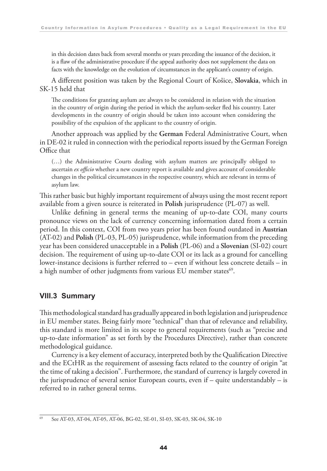in this decision dates back from several months or years preceding the issuance of the decision, it is a flaw of the administrative procedure if the appeal authority does not supplement the data on facts with the knowledge on the evolution of circumstances in the applicant's country of origin.

A different position was taken by the Regional Court of Košice, **Slovakia**, which in SK-15 held that

 The conditions for granting asylum are always to be considered in relation with the situation in the country of origin during the period in which the asylum-seeker fled his country. Later developments in the country of origin should be taken into account when considering the possibility of the expulsion of the applicant to the country of origin.

Another approach was applied by the **German** Federal Administrative Court, when in DE-02 it ruled in connection with the periodical reports issued by the German Foreign Office that

 (…) the Administrative Courts dealing with asylum matters are principally obliged to ascertain *ex officio* whether a new country report is available and gives account of considerable changes in the political circumstances in the respective country, which are relevant in terms of asylum law.

This rather basic but highly important requirement of always using the most recent report available from a given source is reiterated in **Polish** jurisprudence (PL-07) as well.

Unlike defining in general terms the meaning of up-to-date COI, many courts pronounce views on the lack of currency concerning information dated from a certain period. In this context, COI from two years prior has been found outdated in **Austrian** (AT-02) and **Polish** (PL-03, PL-05) jurisprudence, while information from the preceding year has been considered unacceptable in a **Polish** (PL-06) and a **Slovenian** (SI-02) court decision. The requirement of using up-to-date COI or its lack as a ground for cancelling lower-instance decisions is further referred to – even if without less concrete details – in a high number of other judgments from various EU member states<sup>69</sup>.

#### **VIII.3 Summary**

This methodological standard has gradually appeared in both legislation and jurisprudence in EU member states. Being fairly more "technical" than that of relevance and reliability, this standard is more limited in its scope to general requirements (such as "precise and up-to-date information" as set forth by the Procedures Directive), rather than concrete methodological guidance.

Currency is a key element of accuracy, interpreted both by the Qualification Directive and the ECtHR as the requirement of assessing facts related to the country of origin "at the time of taking a decision". Furthermore, the standard of currency is largely covered in the jurisprudence of several senior European courts, even if – quite understandably – is referred to in rather general terms.

<sup>69</sup> See AT-03, AT-04, AT-05, AT-06, BG-02, SE-01, SI-03, SK-03, SK-04, SK-10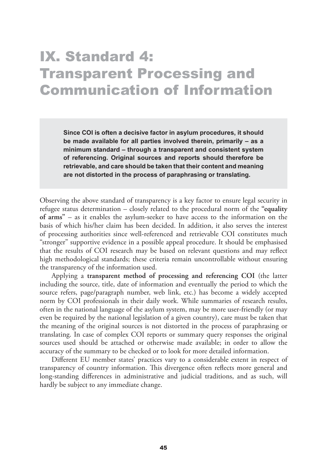### IX. Standard 4: Transparent Processing and Communication of Information

**Since COI is often a decisive factor in asylum procedures, it should be made available for all parties involved therein, primarily – as a minimum standard – through a transparent and consistent system of referencing. Original sources and reports should therefore be retrievable, and care should be taken that their content and meaning are not distorted in the process of paraphrasing or translating.**

Observing the above standard of transparency is a key factor to ensure legal security in refugee status determination – closely related to the procedural norm of the **"equality of arms"** – as it enables the asylum-seeker to have access to the information on the basis of which his/her claim has been decided. In addition, it also serves the interest of processing authorities since well-referenced and retrievable COI constitutes much "stronger" supportive evidence in a possible appeal procedure. It should be emphasised that the results of COI research may be based on relevant questions and may reflect high methodological standards; these criteria remain uncontrollable without ensuring the transparency of the information used.

Applying a **transparent method of processing and referencing COI** (the latter including the source, title, date of information and eventually the period to which the source refers, page/paragraph number, web link, etc.) has become a widely accepted norm by COI professionals in their daily work. While summaries of research results, often in the national language of the asylum system, may be more user-friendly (or may even be required by the national legislation of a given country), care must be taken that the meaning of the original sources is not distorted in the process of paraphrasing or translating. In case of complex COI reports or summary query responses the original sources used should be attached or otherwise made available; in order to allow the accuracy of the summary to be checked or to look for more detailed information.

Different EU member states' practices vary to a considerable extent in respect of transparency of country information. This divergence often reflects more general and long-standing differences in administrative and judicial traditions, and as such, will hardly be subject to any immediate change.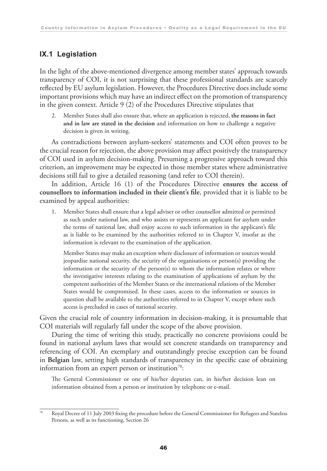#### **IX.1 Legislation**

In the light of the above-mentioned divergence among member states' approach towards transparency of COI, it is not surprising that these professional standards are scarcely reflected by EU asylum legislation. However, the Procedures Directive does include some important provisions which may have an indirect effect on the promotion of transparency in the given context. Article 9 (2) of the Procedures Directive stipulates that

 2. Member States shall also ensure that, where an application is rejected, **the reasons in fact and in law are stated in the decision** and information on how to challenge a negative decision is given in writing.

As contradictions between asylum-seekers' statements and COI often proves to be the crucial reason for rejection, the above provision may affect positively the transparency of COI used in asylum decision-making. Presuming a progressive approach toward this criterion, an improvement may be expected in those member states where administrative decisions still fail to give a detailed reasoning (and refer to COI therein).

In addition, Article 16 (1) of the Procedures Directive **ensures the access of counsellors to information included in their client's file**, provided that it is liable to be examined by appeal authorities:

 1. Member States shall ensure that a legal adviser or other counsellor admitted or permitted as such under national law, and who assists or represents an applicant for asylum under the terms of national law, shall enjoy access to such information in the applicant's file as is liable to be examined by the authorities referred to in Chapter V, insofar as the information is relevant to the examination of the application.

 Member States may make an exception where disclosure of information or sources would jeopardise national security, the security of the organisations or person(s) providing the information or the security of the person(s) to whom the information relates or where the investigative interests relating to the examination of applications of asylum by the competent authorities of the Member States or the international relations of the Member States would be compromised. In these cases, access to the information or sources in question shall be available to the authorities referred to in Chapter V, except where such access is precluded in cases of national security.

Given the crucial role of country information in decision-making, it is presumable that COI materials will regularly fall under the scope of the above provision.

During the time of writing this study, practically no concrete provisions could be found in national asylum laws that would set concrete standards on transparency and referencing of COI. An exemplary and outstandingly precise exception can be found in **Belgian** law, setting high standards of transparency in the specific case of obtaining information from an expert person or institution<sup>70</sup>:

 The General Commissioner or one of his/her deputies can, in his/her decision lean on information obtained from a person or institution by telephone or e-mail.

<sup>70</sup> Royal Decree of 11 July 2003 fixing the procedure before the General Commissioner for Refugees and Stateless Persons, as well as its functioning, Section 26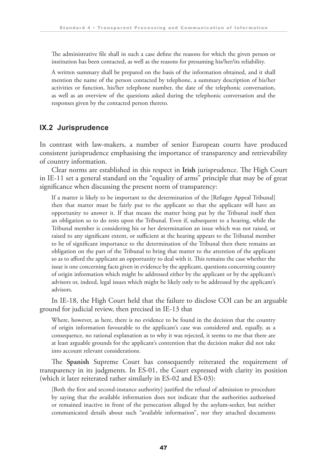The administrative file shall in such a case define the reasons for which the given person or institution has been contacted, as well as the reasons for presuming his/her/its reliability.

 A written summary shall be prepared on the basis of the information obtained, and it shall mention the name of the person contacted by telephone, a summary description of his/her activities or function, his/her telephone number, the date of the telephonic conversation, as well as an overview of the questions asked during the telephonic conversation and the responses given by the contacted person thereto.

#### **IX.2 Jurisprudence**

In contrast with law-makers, a number of senior European courts have produced consistent jurisprudence emphasising the importance of transparency and retrievability of country information.

Clear norms are established in this respect in **Irish** jurisprudence. The High Court in IE-11 set a general standard on the "equality of arms" principle that may be of great significance when discussing the present norm of transparency:

 If a matter is likely to be important to the determination of the [Refugee Appeal Tribunal] then that matter must be fairly put to the applicant so that the applicant will have an opportunity to answer it. If that means the matter being put by the Tribunal itself then an obligation so to do rests upon the Tribunal. Even if, subsequent to a hearing, while the Tribunal member is considering his or her determination an issue which was not raised, or raised to any significant extent, or sufficient at the hearing appears to the Tribunal member to be of significant importance to the determination of the Tribunal then there remains an obligation on the part of the Tribunal to bring that matter to the attention of the applicant so as to afford the applicant an opportunity to deal with it. This remains the case whether the issue is one concerning facts given in evidence by the applicant, questions concerning country of origin information which might be addressed either by the applicant or by the applicant's advisors or, indeed, legal issues which might be likely only to be addressed by the applicant's advisors.

In IE-18, the High Court held that the failure to disclose COI can be an arguable ground for judicial review, then precised in IE-13 that

 Where, however, as here, there is no evidence to be found in the decision that the country of origin information favourable to the applicant's case was considered and, equally, as a consequence, no rational explanation as to why it was rejected, it seems to me that there are at least arguable grounds for the applicant's contention that the decision maker did not take into account relevant considerations.

The **Spanish** Supreme Court has consequently reiterated the requirement of transparency in its judgments. In ES-01, the Court expressed with clarity its position (which it later reiterated rather similarly in ES-02 and ES-03):

 [Both the first and second-instance authority] justified the refusal of admission to procedure by saying that the available information does not indicate that the authorities authorised or remained inactive in front of the persecution alleged by the asylum-seeker, but neither communicated details about such "available information", nor they attached documents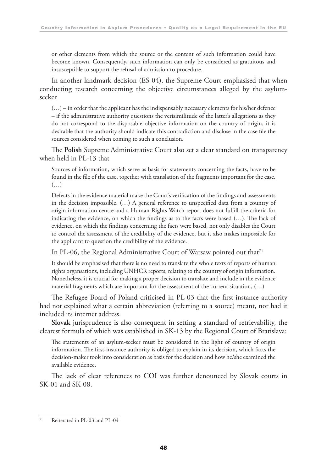or other elements from which the source or the content of such information could have become known. Consequently, such information can only be considered as gratuitous and insusceptible to support the refusal of admission to procedure.

In another landmark decision (ES-04), the Supreme Court emphasised that when conducting research concerning the objective circumstances alleged by the asylumseeker

 $(...)$  – in order that the applicant has the indispensably necessary elements for his/her defence – if the administrative authority questions the verisimilitude of the latter's allegations as they do not correspond to the disposable objective information on the country of origin, it is desirable that the authority should indicate this contradiction and disclose in the case file the sources considered when coming to such a conclusion.

The **Polish** Supreme Administrative Court also set a clear standard on transparency when held in PL-13 that

 Sources of information, which serve as basis for statements concerning the facts, have to be found in the file of the case, together with translation of the fragments important for the case.  $(\ldots)$ 

 Defects in the evidence material make the Court's verification of the findings and assessments in the decision impossible. (…) A general reference to unspecified data from a country of origin information centre and a Human Rights Watch report does not fulfill the criteria for indicating the evidence, on which the findings as to the facts were based (…). The lack of evidence, on which the findings concerning the facts were based, not only disables the Court to control the assessment of the credibility of the evidence, but it also makes impossible for the applicant to question the credibility of the evidence.

In PL-06, the Regional Administrative Court of Warsaw pointed out that<sup>71</sup>

 It should be emphasised that there is no need to translate the whole texts of reports of human rights organsations, including UNHCR reports, relating to the country of origin information. Nonetheless, it is crucial for making a proper decision to translate and include in the evidence material fragments which are important for the assessment of the current situation, (…)

The Refugee Board of Poland criticised in PL-03 that the first-instance authority had not explained what a certain abbreviation (referring to a source) meant, nor had it included its internet address.

**Slovak** jurisprudence is also consequent in setting a standard of retrievability, the clearest formula of which was established in SK-13 by the Regional Court of Bratislava:

 The statements of an asylum-seeker must be considered in the light of country of origin information. The first-instance authority is obliged to explain in its decision, which facts the decision-maker took into consideration as basis for the decision and how he/she examined the available evidence.

The lack of clear references to COI was further denounced by Slovak courts in SK-01 and SK-08.

<sup>71</sup> Reiterated in PL-03 and PL-04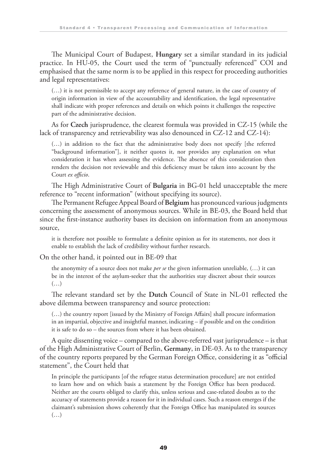The Municipal Court of Budapest, **Hungary** set a similar standard in its judicial practice. In HU-05, the Court used the term of "punctually referenced" COI and emphasised that the same norm is to be applied in this respect for proceeding authorities and legal representatives:

 (…) it is not permissible to accept any reference of general nature, in the case of country of origin information in view of the accountability and identification, the legal representative shall indicate with proper references and details on which points it challenges the respective part of the administrative decision.

As for **Czech** jurisprudence, the clearest formula was provided in CZ-15 (while the lack of transparency and retrievability was also denounced in CZ-12 and CZ-14):

 (…) in addition to the fact that the administrative body does not specify [the referred "background information"], it neither quotes it, nor provides any explanation on what consideration it has when assessing the evidence. The absence of this consideration then renders the decision not reviewable and this deficiency must be taken into account by the Court *ex officio*.

The High Administrative Court of **Bulgaria** in BG-01 held unacceptable the mere reference to "recent information" (without specifying its source).

The Permanent Refugee Appeal Board of **Belgium** has pronounced various judgments concerning the assessment of anonymous sources. While in BE-03, the Board held that since the first-instance authority bases its decision on information from an anonymous source,

 it is therefore not possible to formulate a definite opinion as for its statements, nor does it enable to establish the lack of credibility without further research.

On the other hand, it pointed out in BE-09 that

 the anonymity of a source does not make *per se* the given information unreliable, (…) it can be in the interest of the asylum-seeker that the authorities stay discreet about their sources  $(\ldots)$ 

The relevant standard set by the **Dutch** Council of State in NL-01 reflected the above dilemma between transparency and source protection:

 (…) the country report [issued by the Ministry of Foreign Affairs] shall procure information in an impartial, objective and insightful manner, indicating – if possible and on the condition it is safe to do so – the sources from where it has been obtained.

A quite dissenting voice – compared to the above-referred vast jurisprudence – is that of the High Administrative Court of Berlin, **Germany**, in DE-03. As to the transparency of the country reports prepared by the German Foreign Office, considering it as "official statement", the Court held that

 In principle the participants [of the refugee status determination procedure] are not entitled to learn how and on which basis a statement by the Foreign Office has been produced. Neither are the courts obliged to clarify this, unless serious and case-related doubts as to the accuracy of statements provide a reason for it in individual cases. Such a reason emerges if the claimant's submission shows coherently that the Foreign Office has manipulated its sources  $(\ldots)$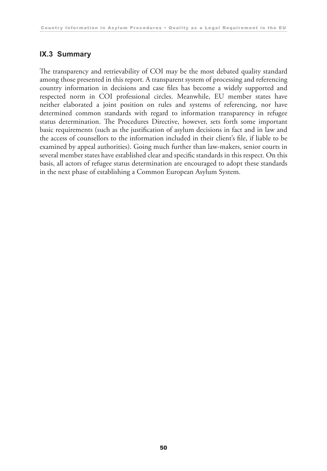#### **IX.3 Summary**

The transparency and retrievability of COI may be the most debated quality standard among those presented in this report. A transparent system of processing and referencing country information in decisions and case files has become a widely supported and respected norm in COI professional circles. Meanwhile, EU member states have neither elaborated a joint position on rules and systems of referencing, nor have determined common standards with regard to information transparency in refugee status determination. The Procedures Directive, however, sets forth some important basic requirements (such as the justification of asylum decisions in fact and in law and the access of counsellors to the information included in their client's file, if liable to be examined by appeal authorities). Going much further than law-makers, senior courts in several member states have established clear and specific standards in this respect. On this basis, all actors of refugee status determination are encouraged to adopt these standards in the next phase of establishing a Common European Asylum System.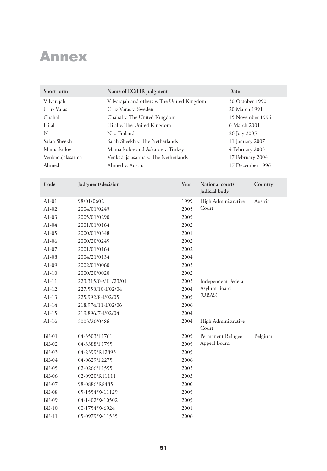### Annex

| Short form       | Name of ECtHR judgment                      | Date             |  |
|------------------|---------------------------------------------|------------------|--|
| Vilvarajah       | Vilvarajah and others v. The United Kingdom | 30 October 1990  |  |
| Cruz Varas       | Cruz Varas v. Sweden                        | 20 March 1991    |  |
| Chahal           | Chahal v. The United Kingdom                | 15 November 1996 |  |
| Hilal            | Hilal v. The United Kingdom                 | 6 March 2001     |  |
| N                | N v. Finland                                | 26 July 2005     |  |
| Salah Sheekh     | Salah Sheekh v. The Netherlands             | 11 January 2007  |  |
| Mamatkulov       | Mamatkulov and Askarov v. Turkey            | 4 February 2005  |  |
| Venkadajalasarma | Venkadajalasarma v. The Netherlands         | 17 February 2004 |  |
| Ahmed            | Ahmed v. Austria                            | 17 December 1996 |  |

| Code         | Judgment/decision    | Year | National court/<br>judicial body | Country |
|--------------|----------------------|------|----------------------------------|---------|
| $AT-01$      | 98/01/0602           | 1999 | High Administrative              | Austria |
| $AT-02$      | 2004/01/0245         | 2005 | Court                            |         |
| $AT-03$      | 2005/01/0290         | 2005 |                                  |         |
| $AT-04$      | 2001/01/0164         | 2002 |                                  |         |
| $AT-05$      | 2000/01/0348         | 2001 |                                  |         |
| $AT-06$      | 2000/20/0245         | 2002 |                                  |         |
| $AT-07$      | 2001/01/0164         | 2002 |                                  |         |
| $AT-08$      | 2004/21/0134         | 2004 |                                  |         |
| $AT-09$      | 2002/01/0060         | 2003 |                                  |         |
| $AT-10$      | 2000/20/0020         | 2002 |                                  |         |
| $AT-11$      | 223.315/0-VIII/23/01 | 2003 | Independent Federal              |         |
| $AT-12$      | 227.558/10-I/02/04   | 2004 | Asylum Board                     |         |
| $AT-13$      | 225.992/8-I/02/05    | 2005 | (UBAS)                           |         |
| $AT-14$      | 218.974/11-I/02/06   | 2006 |                                  |         |
| $AT-15$      | 219.896/7-I/02/04    | 2004 |                                  |         |
| $AT-16$      | 2003/20/0486         | 2004 | High Administrative<br>Court     |         |
| <b>BE-01</b> | 04-3503/F1761        | 2005 | Permanent Refugee                | Belgium |
| <b>BE-02</b> | 04-3388/F1755        | 2005 | Appeal Board                     |         |
| <b>BE-03</b> | 04-2399/R12893       | 2005 |                                  |         |
| <b>BE-04</b> | 04-0629/F2275        | 2006 |                                  |         |
| <b>BE-05</b> | 02-0266/F1595        | 2003 |                                  |         |
| <b>BE-06</b> | 02-0920/R11111       | 2003 |                                  |         |
| <b>BE-07</b> | 98-0886/R8485        | 2000 |                                  |         |
| <b>BE-08</b> | 05-1554/W11129       | 2005 |                                  |         |
| <b>BE-09</b> | 04-1402/W10502       | 2005 |                                  |         |
| $BE-10$      | 00-1754/W6924        | 2001 |                                  |         |
| $BE-11$      | 05-0979/W11535       | 2006 |                                  |         |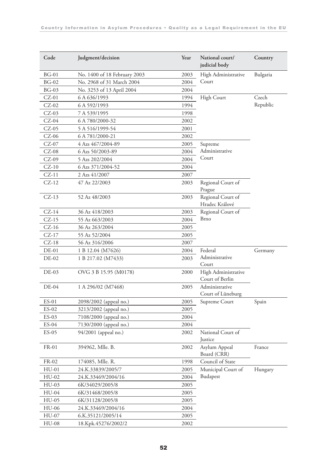| Code    | Judgment/decision            | Year | National court/<br>judicial body       | Country  |
|---------|------------------------------|------|----------------------------------------|----------|
| $BG-01$ | No. 1400 of 18 February 2003 | 2003 | High Administrative                    | Bulgaria |
| $BG-02$ | No. 2968 of 31 March 2004    | 2004 | Court                                  |          |
| $BG-03$ | No. 3253 of 13 April 2004    | 2004 |                                        |          |
| $CZ-01$ | 6 A 636/1993                 | 1994 | High Court                             | Czech    |
| $CZ-02$ | 6 A 592/1993                 | 1994 |                                        | Republic |
| $CZ-03$ | 7 A 539/1995                 | 1998 |                                        |          |
| $CZ-04$ | 6 A 780/2000-32              | 2002 |                                        |          |
| $CZ-05$ | 5 A 516/1999-54              | 2001 |                                        |          |
| $CZ-06$ | 6A781/2000-21                | 2002 |                                        |          |
| $CZ-07$ | 4 Azs 467/2004-89            | 2005 | Supreme                                |          |
| $CZ-08$ | 6 Azs 50/2003-89             | 2004 | Administrative                         |          |
| $CZ-09$ | 5 Azs 202/2004               | 2004 | Court                                  |          |
| $CZ-10$ | 6 Azs 371/2004-52            | 2004 |                                        |          |
| $CZ-11$ | 2 Azs 41/2007                | 2007 |                                        |          |
| $CZ-12$ | 47 Az 22/2003                | 2003 | Regional Court of<br>Prague            |          |
| $CZ-13$ | 52 Az 48/2003                | 2003 | Regional Court of<br>Hradec Králové    |          |
| $CZ-14$ | 36 Az 418/2003               | 2003 | Regional Court of                      |          |
| $CZ-15$ | 55 Az 663/2003               | 2004 | Brno                                   |          |
| $CZ-16$ | 36 Az 263/2004               | 2005 |                                        |          |
| $CZ-17$ | 55 Az 52/2004                | 2005 |                                        |          |
| $CZ-18$ | 56 Az 316/2006               | 2007 |                                        |          |
| DE-01   | 1 B 12.04 (M7626)            | 2004 | Federal                                | Germany  |
| DE-02   | 1 B 217.02 (M7433)           | 2003 | Administrative<br>Court                |          |
| DE-03   | OVG 3 B 15.95 (M0178)        | 2000 | High Administrative<br>Court of Berlin |          |
| $DE-04$ | 1 A 296/02 (M7468)           | 2005 | Administrative<br>Court of Lüneburg    |          |
| ES-01   | 2098/2002 (appeal no.)       | 2005 | Supreme Court                          | Spain    |
| $ES-02$ | 3213/2002 (appeal no.)       | 2005 |                                        |          |
| $ES-03$ | 7108/2000 (appeal no.)       | 2004 |                                        |          |
| ES-04   | 7130/2000 (appeal no.)       | 2004 |                                        |          |
| $ES-05$ | 94/2001 (appeal no.)         | 2002 | National Court of<br><b>Justice</b>    |          |
| FR-01   | 394962, Mlle. B.             | 2002 | Asylum Appeal<br>Board (CRR)           | France   |
| FR-02   | 174085, Mlle. R.             | 1998 | Council of State                       |          |
| $HU-01$ | 24.K.33839/2005/7            | 2005 | Municipal Court of                     | Hungary  |
| $HU-02$ | 24.K.33469/2004/16           | 2004 | Budapest                               |          |
| $HU-03$ | 6K/34029/2005/8              | 2005 |                                        |          |
| $HU-04$ | 6K/31468/2005/8              | 2005 |                                        |          |
| HU-05   | 6K/31128/2005/8              | 2005 |                                        |          |
| HU-06   | 24.K.33469/2004/16           | 2004 |                                        |          |
| HU-07   | 6.K.35121/2005/14            | 2005 |                                        |          |
| $HU-08$ | 18.Kpk.45276/2002/2          | 2002 |                                        |          |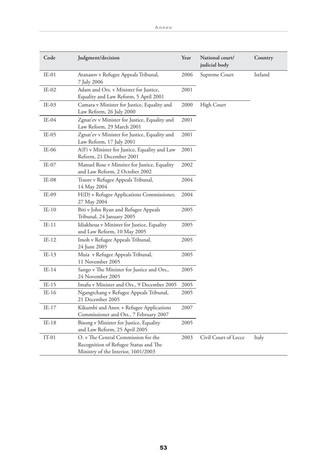| Code    | Judgment/decision                                                                                                   | Year | National court/<br>judicial body | Country |
|---------|---------------------------------------------------------------------------------------------------------------------|------|----------------------------------|---------|
| $IE-01$ | Atanasov v Refugee Appeals Tribunal,<br>7 July 2006                                                                 | 2006 | Supreme Court                    | Ireland |
| $IE-02$ | Adam and Ors. v Minister for Justice,<br>Equality and Law Reform, 5 April 2001                                      | 2001 |                                  |         |
| $IE-03$ | Camara v Minister for Justice, Equality and<br>Law Reform, 26 July 2000                                             | 2000 | High Court                       |         |
| $IE-04$ | Zgnat'ev v Minister for Justice, Equality and<br>Law Reform, 29 March 2001                                          | 2001 |                                  |         |
| $IE-05$ | Zgnat'ev v Minister for Justice, Equality and<br>Law Reform, 17 July 2001                                           | 2001 |                                  |         |
| $IE-06$ | A(F) v Minister for Justice, Equality and Law<br>Reform, 21 December 2001                                           | 2001 |                                  |         |
| $IE-07$ | Manuel Rose v Minsiter for Justice, Equality<br>and Law Reform, 2 October 2002                                      | 2002 |                                  |         |
| $IE-08$ | Traore v Refugee Appeals Tribunal,<br>14 May 2004                                                                   | 2004 |                                  |         |
| IE-09   | H(D) v Refugee Applications Commissioner,<br>27 May 2004                                                            | 2004 |                                  |         |
| $IE-10$ | Biti v John Ryan and Refugee Appeals<br>Tribunal, 24 January 2005                                                   | 2005 |                                  |         |
| $IE-11$ | Idiakheua v Minister for Justice, Equality<br>and Law Reform, 10 May 2005                                           | 2005 |                                  |         |
| $IE-12$ | Imoh v Refugee Appeals Tribunal,<br>24 June 2005                                                                    | 2005 |                                  |         |
| $IE-13$ | Muia v Refugee Appeals Tribunal,<br>11 November 2005                                                                | 2005 |                                  |         |
| $IE-14$ | Sango v The Minister for Justice and Ors.,<br>24 November 2005                                                      | 2005 |                                  |         |
| $IE-15$ | Imafu v Minister and Ors., 9 December 2005                                                                          | 2005 |                                  |         |
| $IE-16$ | Ngangtchang v Refugee Appeals Tribunal,<br>21 December 2005                                                         | 2005 |                                  |         |
| $IE-17$ | Kikumbi and Anor. v Refugee Applications<br>Commissioner and Ors., 7 February 2007                                  | 2007 |                                  |         |
| $IE-18$ | Bisong v Minister for Justice, Equality<br>and Law Reform, 25 April 2005                                            | 2005 |                                  |         |
| $IT-01$ | O. v The Central Commission for the<br>Recognition of Refugee Status and The<br>Ministry of the Interior, 1601/2003 | 2003 | Civil Court of Lecce             | Italy   |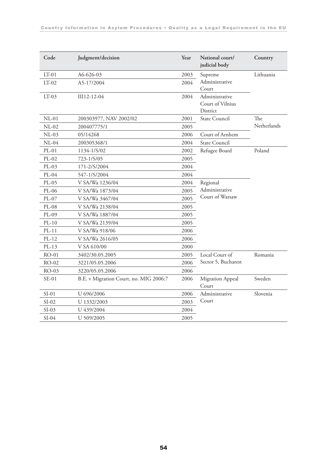| Code     | Judgment/decision                      | Year | National court/<br>judicial body               | Country     |
|----------|----------------------------------------|------|------------------------------------------------|-------------|
| $LT-01$  | A6-626-03                              | 2003 | Supreme                                        | Lithuania   |
| $LT-02$  | A5-17/2004                             | 2004 | Administrative<br>Court                        |             |
| $LT-0.3$ | III12-12-04                            | 2004 | Administrative<br>Court of Vilnius<br>District |             |
| $NL-01$  | 200303977, NAV 2002/02                 | 2001 | State Council                                  | The         |
| $NL-02$  | 200407775/1                            | 2005 |                                                | Netherlands |
| $NL-03$  | 05/14268                               | 2006 | Court of Arnhem                                |             |
| $NL-04$  | 200305368/1                            | 2004 | <b>State Council</b>                           |             |
| $PL-01$  | 1134-1/S/02                            | 2002 | Refugee Board                                  | Poland      |
| $PL-02$  | 723-1/S/05                             | 2005 |                                                |             |
| $PL-03$  | 171-2/S/2004                           | 2004 |                                                |             |
| $PL-04$  | 547-1/S/2004                           | 2004 |                                                |             |
| PL-05    | V SA/Wa 1236/04                        | 2004 | Regional                                       |             |
| PL-06    | V SA/Wa 1873/04                        | 2005 | Administrative                                 |             |
| $PL-07$  | V SA/Wa 3467/04                        | 2005 | Court of Warsaw                                |             |
| $PL-08$  | V SA/Wa 2138/04                        | 2005 |                                                |             |
| $PL-09$  | V SA/Wa 1887/04                        | 2005 |                                                |             |
| $PL-10$  | V SA/Wa 2139/04                        | 2005 |                                                |             |
| $PL-11$  | V SA/Wa 918/06                         | 2006 |                                                |             |
| $PL-12$  | V SA/Wa 2616/05                        | 2006 |                                                |             |
| $PL-13$  | V SA 610/00                            | 2000 |                                                |             |
| $RO-01$  | 3402/30.05.2005                        | 2005 | Local Court of                                 | Romania     |
| RO-02    | 3221/05.05.2006                        | 2006 | Sector 5, Bucharest                            |             |
| RO-03    | 3220/05.05.2006                        | 2006 |                                                |             |
| $SE-01$  | B.E. v Migration Court, no. MIG 2006:7 | 2006 | Migration Appeal<br>Court                      | Sweden      |
| $SI-01$  | U 696/2006                             | 2006 | Administrative                                 | Slovenia    |
| $SI-02$  | U 1332/2003                            | 2003 | Court                                          |             |
| $SI-0.3$ | U 439/2004                             | 2004 |                                                |             |
| $SI-04$  | U 509/2005                             | 2005 |                                                |             |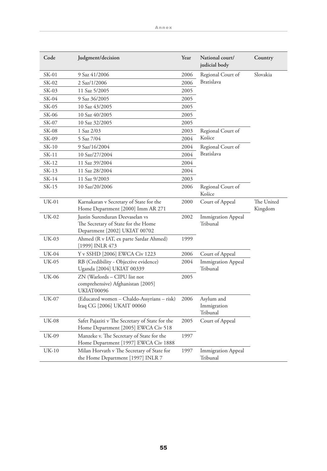| Code         | Judgment/decision                                                                                       | Year | National court/<br>judicial body      | Country               |
|--------------|---------------------------------------------------------------------------------------------------------|------|---------------------------------------|-----------------------|
| SK-01        | 9 Saz 41/2006                                                                                           | 2006 | Regional Court of                     | Slovakia              |
| SK-02        | 2 Saz/1/2006                                                                                            | 2006 | <b>Bratislava</b>                     |                       |
| SK-03        | 11 Saz 5/2005                                                                                           | 2005 |                                       |                       |
| SK-04        | 9 Saz 36/2005                                                                                           | 2005 |                                       |                       |
| SK-05        | 10 Saz 43/2005                                                                                          | 2005 |                                       |                       |
| SK-06        | 10 Saz 40/2005                                                                                          | 2005 |                                       |                       |
| SK-07        | 10 Saz 32/2005                                                                                          | 2005 |                                       |                       |
| SK-08        | 1 Saz 2/03                                                                                              | 2003 | Regional Court of                     |                       |
| SK-09        | 5 Saz 7/04                                                                                              | 2004 | Košice                                |                       |
| $SK-10$      | 9 Saz/16/2004                                                                                           | 2004 | Regional Court of                     |                       |
| $SK-11$      | 10 Saz/27/2004                                                                                          | 2004 | <b>Bratislava</b>                     |                       |
| SK-12        | 11 Saz 39/2004                                                                                          | 2004 |                                       |                       |
| $SK-13$      | 11 Saz 28/2004                                                                                          | 2004 |                                       |                       |
| SK-14        | 11 Saz 9/2003                                                                                           | 2003 |                                       |                       |
| SK-15        | 10 Saz/20/2006                                                                                          | 2006 | Regional Court of<br>Košice           |                       |
| UK-01        | Karnakaran v Secretary of State for the<br>Home Department [2000] Imm AR 271                            | 2000 | Court of Appeal                       | The United<br>Kingdom |
| <b>UK-02</b> | Justin Surenduran Deevaselan vs<br>The Secretary of State for the Home<br>Department [2002] UKIAT 00702 | 2002 | Immigration Appeal<br>Tribunal        |                       |
| <b>UK-03</b> | Ahmed (R v IAT, ex parte Sardar Ahmed)<br>[1999] INLR 473                                               | 1999 |                                       |                       |
| UK-04        | Y v SSHD [2006] EWCA Civ 1223                                                                           | 2006 | Court of Appeal                       |                       |
| UK-05        | RB (Credibility - Objective evidence)<br>Uganda [2004] UKIAT 00339                                      | 2004 | <b>Immigration Appeal</b><br>Tribunal |                       |
| <b>UK-06</b> | ZN (Warlords - CIPU list not<br>comprehensive) Afghanistan [2005]<br>UKIAT00096                         | 2005 |                                       |                       |
| <b>UK-07</b> | (Educated women - Chaldo-Assyrians - risk)<br>Iraq CG [2006] UKAIT 00060                                | 2006 | Asylum and<br>Immigration<br>Tribunal |                       |
| <b>UK-08</b> | Safet Pajaziti v The Secretary of State for the<br>Home Department [2005] EWCA Civ 518                  | 2005 | Court of Appeal                       |                       |
| UK-09        | Manzeke v. The Secretary of State for the<br>Home Department [1997] EWCA Civ 1888                       | 1997 |                                       |                       |
| $UK-10$      | Milan Horvath v The Secretary of State for<br>the Home Department [1997] INLR 7                         | 1997 | <b>Immigration Appeal</b><br>Tribunal |                       |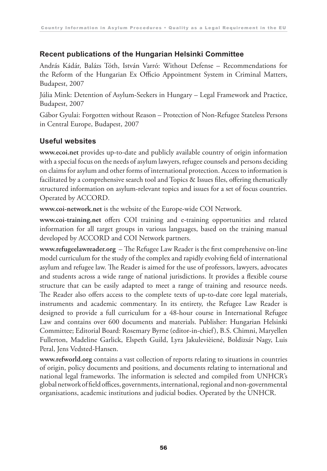#### **Recent publications of the Hungarian Helsinki Committee**

András Kádár, Balázs Tóth, István Varró: Without Defense – Recommendations for the Reform of the Hungarian Ex Officio Appointment System in Criminal Matters, Budapest, 2007

Júlia Mink: Detention of Asylum-Seekers in Hungary – Legal Framework and Practice, Budapest, 2007

Gábor Gyulai: Forgotten without Reason – Protection of Non-Refugee Stateless Persons in Central Europe, Budapest, 2007

#### **Useful websites**

**www.ecoi.net** provides up-to-date and publicly available country of origin information with a special focus on the needs of asylum lawyers, refugee counsels and persons deciding on claims for asylum and other forms of international protection. Access to information is facilitated by a comprehensive search tool and Topics & Issues files, offering thematically structured information on asylum-relevant topics and issues for a set of focus countries. Operated by ACCORD.

**www.coi-network.net** is the website of the Europe-wide COI Network.

**www.coi-training.net** offers COI training and e-training opportunities and related information for all target groups in various languages, based on the training manual developed by ACCORD and COI Network partners.

**www.refugeelawreader.org** – The Refugee Law Reader is the first comprehensive on-line model curriculum for the study of the complex and rapidly evolving field of international asylum and refugee law. The Reader is aimed for the use of professors, lawyers, advocates and students across a wide range of national jurisdictions. It provides a flexible course structure that can be easily adapted to meet a range of training and resource needs. The Reader also offers access to the complete texts of up-to-date core legal materials, instruments and academic commentary. In its entirety, the Refugee Law Reader is designed to provide a full curriculum for a 48-hour course in International Refugee Law and contains over 600 documents and materials. Publisher: Hungarian Helsinki Committee; Editorial Board: Rosemary Byrne (editor-in-chief), B.S. Chimni, Maryellen Fullerton, Madeline Garlick, Elspeth Guild, Lyra Jakulevièienė, Boldizsár Nagy, Luis Peral, Jens Vedsted-Hansen.

**www.refworld.org** contains a vast collection of reports relating to situations in countries of origin, policy documents and positions, and documents relating to international and national legal frameworks. The information is selected and compiled from UNHCR's global network of field offices, governments, international, regional and non-governmental organisations, academic institutions and judicial bodies. Operated by the UNHCR.